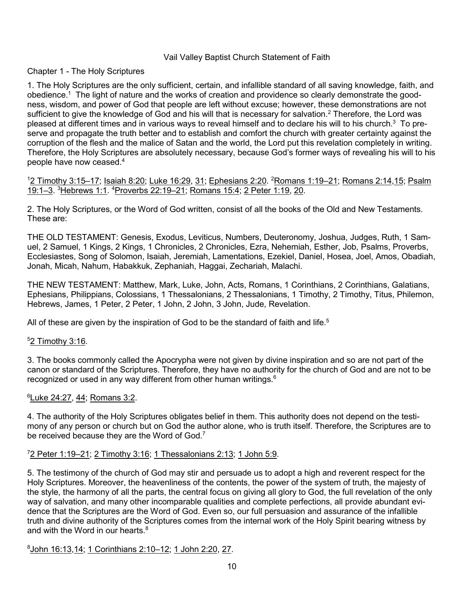### Vail Valley Baptist Church Statement of Faith

### Chapter 1 - The Holy Scriptures

1. The Holy Scriptures are the only sufficient, certain, and infallible standard of all saving knowledge, faith, and obedience.1 The light of nature and the works of creation and providence so clearly demonstrate the goodness, wisdom, and power of God that people are left without excuse; however, these demonstrations are not sufficient to give the knowledge of God and his will that is necessary for salvation.<sup>2</sup> Therefore, the Lord was pleased at different times and in various ways to reveal himself and to declare his will to his church.3 To preserve and propagate the truth better and to establish and comfort the church with greater certainty against the corruption of the flesh and the malice of Satan and the world, the Lord put this revelation completely in writing. Therefore, the Holy Scriptures are absolutely necessary, because God's former ways of revealing his will to his people have now ceased.4

<sup>1</sup>2 Timothy 3:15–17; Isaiah 8:20; Luke 16:29, 31; Ephesians 2:20. <sup>2</sup>Romans 1:19–21; Romans 2:14,15; Psalm 19:1–3. <sup>3</sup> Hebrews 1:1. <sup>4</sup> Proverbs 22:19–21; Romans 15:4; 2 Peter 1:19, 20.

2. The Holy Scriptures, or the Word of God written, consist of all the books of the Old and New Testaments. These are:

THE OLD TESTAMENT: Genesis, Exodus, Leviticus, Numbers, Deuteronomy, Joshua, Judges, Ruth, 1 Samuel, 2 Samuel, 1 Kings, 2 Kings, 1 Chronicles, 2 Chronicles, Ezra, Nehemiah, Esther, Job, Psalms, Proverbs, Ecclesiastes, Song of Solomon, Isaiah, Jeremiah, Lamentations, Ezekiel, Daniel, Hosea, Joel, Amos, Obadiah, Jonah, Micah, Nahum, Habakkuk, Zephaniah, Haggai, Zechariah, Malachi.

THE NEW TESTAMENT: Matthew, Mark, Luke, John, Acts, Romans, 1 Corinthians, 2 Corinthians, Galatians, Ephesians, Philippians, Colossians, 1 Thessalonians, 2 Thessalonians, 1 Timothy, 2 Timothy, Titus, Philemon, Hebrews, James, 1 Peter, 2 Peter, 1 John, 2 John, 3 John, Jude, Revelation.

All of these are given by the inspiration of God to be the standard of faith and life.<sup>5</sup>

## <sup>5</sup>2 Timothy 3:16.

3. The books commonly called the Apocrypha were not given by divine inspiration and so are not part of the canon or standard of the Scriptures. Therefore, they have no authority for the church of God and are not to be recognized or used in any way different from other human writings.<sup>6</sup>

## 6 Luke 24:27, 44; Romans 3:2.

4. The authority of the Holy Scriptures obligates belief in them. This authority does not depend on the testimony of any person or church but on God the author alone, who is truth itself. Therefore, the Scriptures are to be received because they are the Word of God.<sup>7</sup>

### 7 2 Peter 1:19–21; 2 Timothy 3:16; 1 Thessalonians 2:13; 1 John 5:9.

5. The testimony of the church of God may stir and persuade us to adopt a high and reverent respect for the Holy Scriptures. Moreover, the heavenliness of the contents, the power of the system of truth, the majesty of the style, the harmony of all the parts, the central focus on giving all glory to God, the full revelation of the only way of salvation, and many other incomparable qualities and complete perfections, all provide abundant evidence that the Scriptures are the Word of God. Even so, our full persuasion and assurance of the infallible truth and divine authority of the Scriptures comes from the internal work of the Holy Spirit bearing witness by and with the Word in our hearts.<sup>8</sup>

8 John 16:13,14; 1 Corinthians 2:10–12; 1 John 2:20, 27.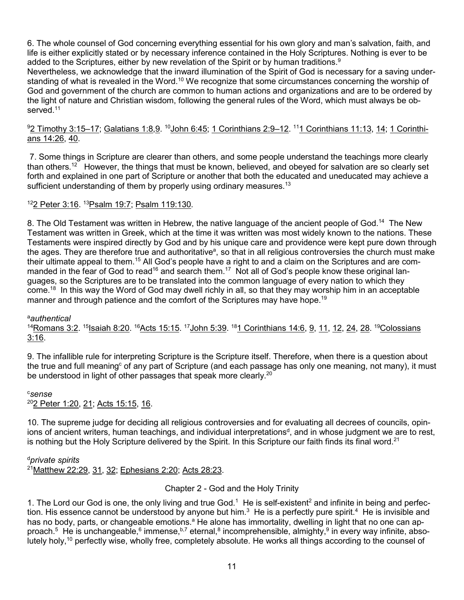6. The whole counsel of God concerning everything essential for his own glory and man's salvation, faith, and life is either explicitly stated or by necessary inference contained in the Holy Scriptures. Nothing is ever to be added to the Scriptures, either by new revelation of the Spirit or by human traditions.<sup>9</sup>

Nevertheless, we acknowledge that the inward illumination of the Spirit of God is necessary for a saving understanding of what is revealed in the Word.<sup>10</sup> We recognize that some circumstances concerning the worship of God and government of the church are common to human actions and organizations and are to be ordered by the light of nature and Christian wisdom, following the general rules of the Word, which must always be observed.<sup>11</sup>

## 9 2 Timothy 3:15–17; Galatians 1:8,9. 10John 6:45; 1 Corinthians 2:9–12. 111 Corinthians 11:13, 14; 1 Corinthians 14:26, 40.

7. Some things in Scripture are clearer than others, and some people understand the teachings more clearly than others.12 However, the things that must be known, believed, and obeyed for salvation are so clearly set forth and explained in one part of Scripture or another that both the educated and uneducated may achieve a sufficient understanding of them by properly using ordinary measures.<sup>13</sup>

## 122 Peter 3:16. <sup>13</sup> Psalm 19:7; Psalm 119:130.

8. The Old Testament was written in Hebrew, the native language of the ancient people of God.14 The New Testament was written in Greek, which at the time it was written was most widely known to the nations. These Testaments were inspired directly by God and by his unique care and providence were kept pure down through the ages. They are therefore true and authoritative<sup>a</sup>, so that in all religious controversies the church must make their ultimate appeal to them.<sup>15</sup> All God's people have a right to and a claim on the Scriptures and are commanded in the fear of God to read<sup>16</sup> and search them.<sup>17</sup> Not all of God's people know these original languages, so the Scriptures are to be translated into the common language of every nation to which they come.18 In this way the Word of God may dwell richly in all, so that they may worship him in an acceptable manner and through patience and the comfort of the Scriptures may have hope.<sup>19</sup>

a *authentical*

<sup>14</sup>Romans 3:2. <sup>15</sup>Isaiah 8:20. <sup>16</sup>Acts 15:15. <sup>17</sup>John 5:39. <sup>18</sup>1 Corinthians 14:6, 9, 11, 12, 24, 28. <sup>19</sup>Colossians 3:16.

9. The infallible rule for interpreting Scripture is the Scripture itself. Therefore, when there is a question about the true and full meaning<sup>c</sup> of any part of Scripture (and each passage has only one meaning, not many), it must be understood in light of other passages that speak more clearly.<sup>20</sup>

c *sense* <sup>20</sup>2 Peter 1:20, 21; Acts 15:15, 16.

10. The supreme judge for deciding all religious controversies and for evaluating all decrees of councils, opinions of ancient writers, human teachings, and individual interpretations<sup>d</sup>, and in whose judgment we are to rest, is nothing but the Holy Scripture delivered by the Spirit. In this Scripture our faith finds its final word.<sup>21</sup>

d *private spirits*

21Matthew 22:29, 31, 32; Ephesians 2:20; Acts 28:23.

Chapter 2 - God and the Holy Trinity

1. The Lord our God is one, the only living and true God.<sup>1</sup> He is self-existent<sup>2</sup> and infinite in being and perfection. His essence cannot be understood by anyone but him.<sup>3</sup> He is a perfectly pure spirit.<sup>4</sup> He is invisible and has no body, parts, or changeable emotions.<sup>a</sup> He alone has immortality, dwelling in light that no one can approach.<sup>5</sup> He is unchangeable,<sup>6</sup> immense,<sup>b,7</sup> eternal,<sup>8</sup> incomprehensible, almighty,<sup>9</sup> in every way infinite, absolutely holy,<sup>10</sup> perfectly wise, wholly free, completely absolute. He works all things according to the counsel of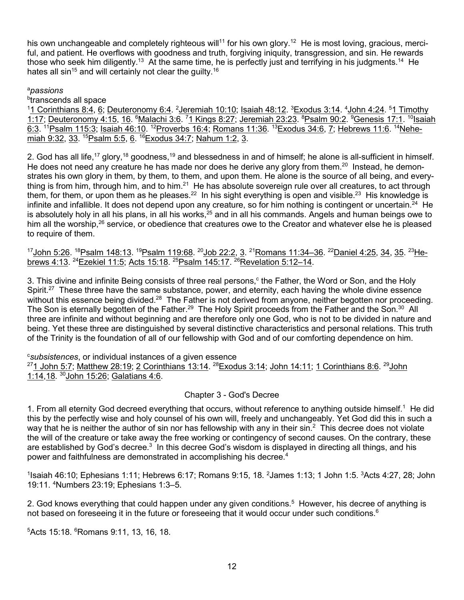his own unchangeable and completely righteous will<sup>11</sup> for his own glory.<sup>12</sup> He is most loving, gracious, merciful, and patient. He overflows with goodness and truth, forgiving iniquity, transgression, and sin. He rewards those who seek him diligently.<sup>13</sup> At the same time, he is perfectly just and terrifying in his judgments.<sup>14</sup> He hates all sin<sup>15</sup> and will certainly not clear the quilty.<sup>16</sup>

## a *passions*

b transcends all space

<sup>1</sup>1 Corinthians 8:4, 6; Deuteronomy 6:4. <sup>2</sup>Jeremiah 10:10; Isaiah 48:12. <sup>3</sup>Exodus 3:14. <sup>4</sup>John 4:24. <sup>5</sup>1 Timothy 1:17; Deuteronomy 4:15, 16. <sup>6</sup>Malachi 3:6. <sup>7</sup>1 Kings 8:27; Jeremiah 23:23. <sup>8</sup>Psalm 90:2. <sup>9</sup>Genesis 17:1. <sup>10</sup>lsaiah 6:3. 11Psalm 115:3; Isaiah 46:10. 12Proverbs 16:4; Romans 11:36. 13Exodus 34:6, 7; Hebrews 11:6. 14Nehemiah 9:32, 33. <sup>15</sup>Psalm 5:5, 6. <sup>16</sup>Exodus 34:7; Nahum 1:2, 3.

2. God has all life,<sup>17</sup> glory,<sup>18</sup> goodness,<sup>19</sup> and blessedness in and of himself; he alone is all-sufficient in himself. He does not need any creature he has made nor does he derive any glory from them.<sup>20</sup> Instead, he demonstrates his own glory in them, by them, to them, and upon them. He alone is the source of all being, and everything is from him, through him, and to him.<sup>21</sup> He has absolute sovereign rule over all creatures, to act through them, for them, or upon them as he pleases.<sup>22</sup> In his sight everything is open and visible.<sup>23</sup> His knowledge is infinite and infallible. It does not depend upon any creature, so for him nothing is contingent or uncertain. $^{24}$  He is absolutely holy in all his plans, in all his works, $^{25}$  and in all his commands. Angels and human beings owe to him all the worship,<sup>26</sup> service, or obedience that creatures owe to the Creator and whatever else he is pleased to require of them.

17 John 5:26. <sup>18</sup> Psalm 148:13. <sup>19</sup> Psalm 119:68. <sup>20</sup> Job 22:2, 3. <sup>21</sup> Romans 11:34–36. <sup>22</sup> Daniel 4:25, 34, 35. <sup>23</sup> Hebrews 4:13. <sup>24</sup>Ezekiel 11:5; Acts 15:18. <sup>25</sup>Psalm 145:17. <sup>26</sup>Revelation 5:12-14.

3. This divine and infinite Being consists of three real persons, $c$  the Father, the Word or Son, and the Holy Spirit.<sup>27</sup> These three have the same substance, power, and eternity, each having the whole divine essence without this essence being divided.<sup>28</sup> The Father is not derived from anyone, neither begotten nor proceeding. The Son is eternally begotten of the Father.<sup>29</sup> The Holy Spirit proceeds from the Father and the Son.<sup>30</sup> All three are infinite and without beginning and are therefore only one God, who is not to be divided in nature and being. Yet these three are distinguished by several distinctive characteristics and personal relations. This truth of the Trinity is the foundation of all of our fellowship with God and of our comforting dependence on him.

c *subsistences*, or individual instances of a given essence  $271$  John 5:7; Matthew 28:19; 2 Corinthians 13:14.  $28$ Exodus 3:14; John 14:11; 1 Corinthians 8:6.  $29$ John 1:14,18. <sup>30</sup> John 15:26; Galatians 4:6.

# Chapter 3 - God's Decree

1. From all eternity God decreed everything that occurs, without reference to anything outside himself.<sup>1</sup> He did this by the perfectly wise and holy counsel of his own will, freely and unchangeably. Yet God did this in such a way that he is neither the author of sin nor has fellowship with any in their sin.<sup>2</sup> This decree does not violate the will of the creature or take away the free working or contingency of second causes. On the contrary, these are established by God's decree.<sup>3</sup> In this decree God's wisdom is displayed in directing all things, and his power and faithfulness are demonstrated in accomplishing his decree.<sup>4</sup>

 $1$ lsaiah 46:10; Ephesians 1:11; Hebrews 6:17; Romans 9:15, 18.  $2$ James 1:13; 1 John 1:5.  $3$ Acts 4:27, 28; John 19:11. <sup>4</sup> Numbers 23:19; Ephesians 1:3–5.

2. God knows everything that could happen under any given conditions.<sup>5</sup> However, his decree of anything is not based on foreseeing it in the future or foreseeing that it would occur under such conditions.<sup>6</sup>

5 Acts 15:18. <sup>6</sup> Romans 9:11, 13, 16, 18.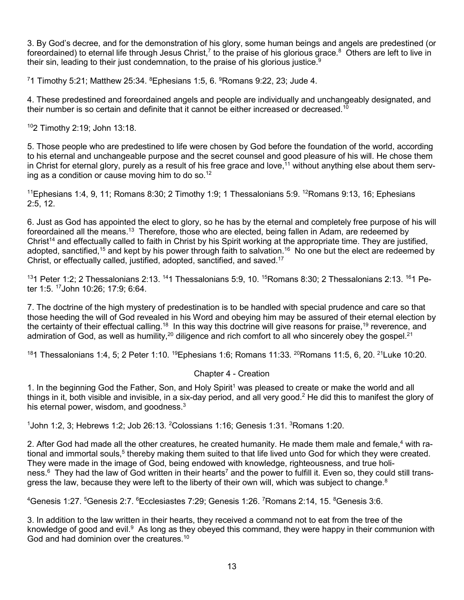3. By God's decree, and for the demonstration of his glory, some human beings and angels are predestined (or foreordained) to eternal life through Jesus Christ,<sup>7</sup> to the praise of his glorious grace.<sup>8</sup> Others are left to live in their sin, leading to their just condemnation, to the praise of his glorious justice.<sup>9</sup>

 $^7$ 1 Timothy 5:21; Matthew 25:34.  $^8$ Ephesians 1:5, 6.  $^9$ Romans 9:22, 23; Jude 4.

4. These predestined and foreordained angels and people are individually and unchangeably designated, and their number is so certain and definite that it cannot be either increased or decreased.<sup>10</sup>

102 Timothy 2:19; John 13:18.

5. Those people who are predestined to life were chosen by God before the foundation of the world, according to his eternal and unchangeable purpose and the secret counsel and good pleasure of his will. He chose them in Christ for eternal glory, purely as a result of his free grace and love,<sup>11</sup> without anything else about them serving as a condition or cause moving him to do so.<sup>12</sup>

<sup>11</sup>Ephesians 1:4, 9, 11; Romans 8:30; 2 Timothy 1:9; 1 Thessalonians 5:9. <sup>12</sup>Romans 9:13, 16; Ephesians 2:5, 12.

6. Just as God has appointed the elect to glory, so he has by the eternal and completely free purpose of his will foreordained all the means.<sup>13</sup> Therefore, those who are elected, being fallen in Adam, are redeemed by Christ<sup>14</sup> and effectually called to faith in Christ by his Spirit working at the appropriate time. They are justified, adopted, sanctified,<sup>15</sup> and kept by his power through faith to salvation.<sup>16</sup> No one but the elect are redeemed by Christ, or effectually called, justified, adopted, sanctified, and saved.17

131 Peter 1:2; 2 Thessalonians 2:13. 141 Thessalonians 5:9, 10. 15Romans 8:30; 2 Thessalonians 2:13. 161 Peter 1:5. 17John 10:26; 17:9; 6:64.

7. The doctrine of the high mystery of predestination is to be handled with special prudence and care so that those heeding the will of God revealed in his Word and obeying him may be assured of their eternal election by the certainty of their effectual calling.<sup>18</sup> In this way this doctrine will give reasons for praise,<sup>19</sup> reverence, and admiration of God, as well as humility,<sup>20</sup> diligence and rich comfort to all who sincerely obey the gospel.<sup>21</sup>

<sup>18</sup>1 Thessalonians 1:4, 5; 2 Peter 1:10. <sup>19</sup>Ephesians 1:6; Romans 11:33. <sup>20</sup>Romans 11:5, 6, 20. <sup>21</sup>Luke 10:20.

#### Chapter 4 - Creation

1. In the beginning God the Father, Son, and Holy Spirit<sup>1</sup> was pleased to create or make the world and all things in it, both visible and invisible, in a six-day period, and all very good.<sup>2</sup> He did this to manifest the glory of his eternal power, wisdom, and goodness. $3$ 

 $1$ John 1:2, 3; Hebrews 1:2; Job 26:13. <sup>2</sup>Colossians 1:16; Genesis 1:31.  $3$ Romans 1:20.

2. After God had made all the other creatures, he created humanity. He made them male and female,<sup>4</sup> with rational and immortal souls,<sup>5</sup> thereby making them suited to that life lived unto God for which they were created. They were made in the image of God, being endowed with knowledge, righteousness, and true holiness.<sup>6</sup> They had the law of God written in their hearts<sup>7</sup> and the power to fulfill it. Even so, they could still transgress the law, because they were left to the liberty of their own will, which was subject to change.<sup>8</sup>

<sup>4</sup>Genesis 1:27. <sup>5</sup>Genesis 2:7. <sup>6</sup>Ecclesiastes 7:29; Genesis 1:26. <sup>7</sup>Romans 2:14, 15. <sup>8</sup>Genesis 3:6.

3. In addition to the law written in their hearts, they received a command not to eat from the tree of the knowledge of good and evil.<sup>9</sup> As long as they obeyed this command, they were happy in their communion with God and had dominion over the creatures.<sup>10</sup>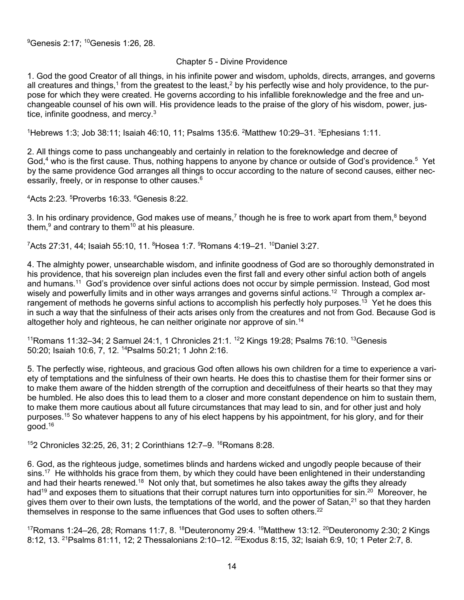### Chapter 5 - Divine Providence

1. God the good Creator of all things, in his infinite power and wisdom, upholds, directs, arranges, and governs all creatures and things,<sup>1</sup> from the greatest to the least,<sup>2</sup> by his perfectly wise and holy providence, to the purpose for which they were created. He governs according to his infallible foreknowledge and the free and unchangeable counsel of his own will. His providence leads to the praise of the glory of his wisdom, power, justice, infinite goodness, and mercy.<sup>3</sup>

<sup>1</sup>Hebrews 1:3; Job 38:11; Isaiah 46:10, 11; Psalms 135:6. <sup>2</sup>Matthew 10:29–31. <sup>3</sup>Ephesians 1:11.

2. All things come to pass unchangeably and certainly in relation to the foreknowledge and decree of God,<sup>4</sup> who is the first cause. Thus, nothing happens to anyone by chance or outside of God's providence.<sup>5</sup> Yet by the same providence God arranges all things to occur according to the nature of second causes, either necessarily, freely, or in response to other causes.<sup>6</sup>

4 Acts 2:23. <sup>5</sup> Proverbs 16:33. <sup>6</sup> Genesis 8:22.

3. In his ordinary providence, God makes use of means,<sup>7</sup> though he is free to work apart from them,<sup>8</sup> beyond them, $9$  and contrary to them<sup>10</sup> at his pleasure.

 $^7$ Acts 27:31, 44; Isaiah 55:10, 11.  $^8$ Hosea 1:7.  $^9$ Romans 4:19–21.  $^{10}$ Daniel 3:27.

4. The almighty power, unsearchable wisdom, and infinite goodness of God are so thoroughly demonstrated in his providence, that his sovereign plan includes even the first fall and every other sinful action both of angels and humans.<sup>11</sup> God's providence over sinful actions does not occur by simple permission. Instead, God most wisely and powerfully limits and in other ways arranges and governs sinful actions.<sup>12</sup> Through a complex arrangement of methods he governs sinful actions to accomplish his perfectly holy purposes.<sup>13</sup> Yet he does this in such a way that the sinfulness of their acts arises only from the creatures and not from God. Because God is altogether holy and righteous, he can neither originate nor approve of  $sin<sup>14</sup>$ 

<sup>11</sup>Romans 11:32–34; 2 Samuel 24:1, 1 Chronicles 21:1. <sup>12</sup>2 Kings 19:28; Psalms 76:10. <sup>13</sup>Genesis 50:20; Isaiah 10:6, 7, 12. 14Psalms 50:21; 1 John 2:16.

5. The perfectly wise, righteous, and gracious God often allows his own children for a time to experience a variety of temptations and the sinfulness of their own hearts. He does this to chastise them for their former sins or to make them aware of the hidden strength of the corruption and deceitfulness of their hearts so that they may be humbled. He also does this to lead them to a closer and more constant dependence on him to sustain them, to make them more cautious about all future circumstances that may lead to sin, and for other just and holy purposes.15 So whatever happens to any of his elect happens by his appointment, for his glory, and for their  $qood.<sup>16</sup>$ 

152 Chronicles 32:25, 26, 31; 2 Corinthians 12:7-9. <sup>16</sup> Romans 8:28.

6. God, as the righteous judge, sometimes blinds and hardens wicked and ungodly people because of their sins.<sup>17</sup> He withholds his grace from them, by which they could have been enlightened in their understanding and had their hearts renewed.<sup>18</sup> Not only that, but sometimes he also takes away the gifts they already had<sup>19</sup> and exposes them to situations that their corrupt natures turn into opportunities for sin.<sup>20</sup> Moreover, he gives them over to their own lusts, the temptations of the world, and the power of Satan.<sup>21</sup> so that they harden themselves in response to the same influences that God uses to soften others. $22$ 

 $17$ Romans 1:24–26, 28; Romans 11:7, 8.  $18$ Deuteronomy 29:4.  $19$ Matthew 13:12.  $20$ Deuteronomy 2:30; 2 Kings 8:12, 13. 21Psalms 81:11, 12; 2 Thessalonians 2:10–12. 22Exodus 8:15, 32; Isaiah 6:9, 10; 1 Peter 2:7, 8.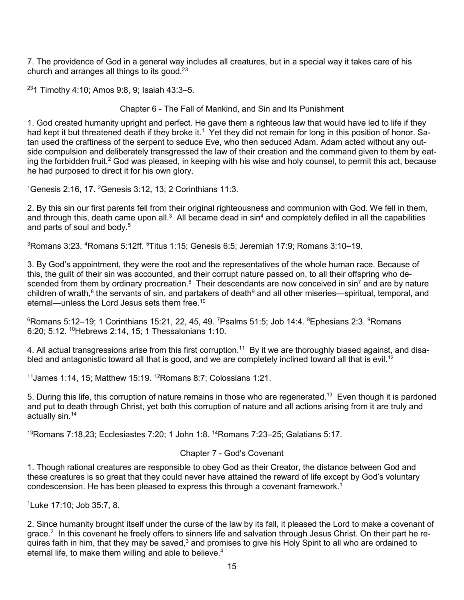7. The providence of God in a general way includes all creatures, but in a special way it takes care of his church and arranges all things to its good.23

 $231$  Timothy 4:10; Amos 9:8, 9; Isaiah 43:3-5.

Chapter 6 - The Fall of Mankind, and Sin and Its Punishment

1. God created humanity upright and perfect. He gave them a righteous law that would have led to life if they had kept it but threatened death if they broke it.<sup>1</sup> Yet they did not remain for long in this position of honor. Satan used the craftiness of the serpent to seduce Eve, who then seduced Adam. Adam acted without any outside compulsion and deliberately transgressed the law of their creation and the command given to them by eating the forbidden fruit.<sup>2</sup> God was pleased, in keeping with his wise and holy counsel, to permit this act, because he had purposed to direct it for his own glory.

 $1$ Genesis 2:16, 17.  $2$ Genesis 3:12, 13; 2 Corinthians 11:3.

2. By this sin our first parents fell from their original righteousness and communion with God. We fell in them, and through this, death came upon all.<sup>3</sup> All became dead in  $\sin^4$  and completely defiled in all the capabilities and parts of soul and body.<sup>5</sup>

 $^3$ Romans 3:23.  $^4$ Romans 5:12ff.  $^5$ Titus 1:15; Genesis 6:5; Jeremiah 17:9; Romans 3:10–19.

3. By God's appointment, they were the root and the representatives of the whole human race. Because of this, the guilt of their sin was accounted, and their corrupt nature passed on, to all their offspring who descended from them by ordinary procreation.<sup>6</sup> Their descendants are now conceived in sin<sup>7</sup> and are by nature children of wrath, $8$  the servants of sin, and partakers of death $9$  and all other miseries—spiritual, temporal, and eternal—unless the Lord Jesus sets them free.10

 $^6$ Romans 5:12–19; 1 Corinthians 15:21, 22, 45, 49. <sup>7</sup>Psalms 51:5; Job 14:4.  $^8$ Ephesians 2:3.  $^9$ Romans 6:20; 5:12. 10Hebrews 2:14, 15; 1 Thessalonians 1:10.

4. All actual transgressions arise from this first corruption.<sup>11</sup> By it we are thoroughly biased against, and disabled and antagonistic toward all that is good, and we are completely inclined toward all that is evil.<sup>12</sup>

 $11$ James 1:14, 15; Matthew 15:19.  $12$ Romans 8:7; Colossians 1:21.

5. During this life, this corruption of nature remains in those who are regenerated.<sup>13</sup> Even though it is pardoned and put to death through Christ, yet both this corruption of nature and all actions arising from it are truly and actually sin.14

 $13$ Romans 7:18,23; Ecclesiastes 7:20; 1 John 1:8.  $14$ Romans 7:23–25; Galatians 5:17.

### Chapter 7 - God's Covenant

1. Though rational creatures are responsible to obey God as their Creator, the distance between God and these creatures is so great that they could never have attained the reward of life except by God's voluntary condescension. He has been pleased to express this through a covenant framework.1

1 Luke 17:10; Job 35:7, 8.

2. Since humanity brought itself under the curse of the law by its fall, it pleased the Lord to make a covenant of grace.<sup>2</sup> In this covenant he freely offers to sinners life and salvation through Jesus Christ. On their part he requires faith in him, that they may be saved,<sup>3</sup> and promises to give his Holy Spirit to all who are ordained to eternal life, to make them willing and able to believe.<sup>4</sup>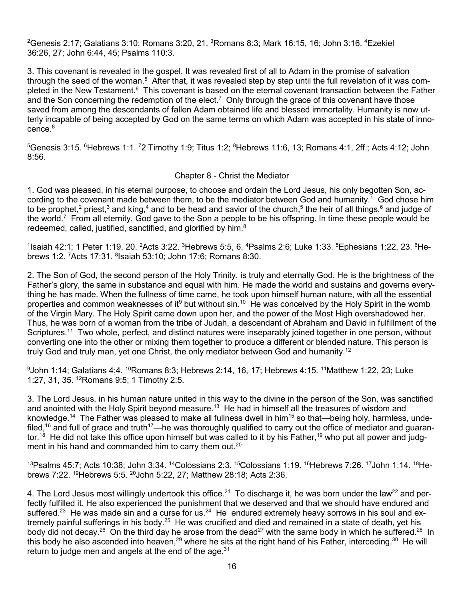$^2$ Genesis 2:17; Galatians 3:10; Romans 3:20, 21.  $^3$ Romans 8:3; Mark 16:15, 16; John 3:16.  $^4$ Ezekiel 36:26, 27; John 6:44, 45; Psalms 110:3.

3. This covenant is revealed in the gospel. It was revealed first of all to Adam in the promise of salvation through the seed of the woman.<sup>5</sup> After that, it was revealed step by step until the full revelation of it was completed in the New Testament.<sup>6</sup> This covenant is based on the eternal covenant transaction between the Father and the Son concerning the redemption of the elect.<sup>7</sup> Only through the grace of this covenant have those saved from among the descendants of fallen Adam obtained life and blessed immortality. Humanity is now utterly incapable of being accepted by God on the same terms on which Adam was accepted in his state of innocence.<sup>8</sup>

 $^5$ Genesis 3:15.  $^6$ Hebrews 1:1. <sup>7</sup>2 Timothy 1:9; Titus 1:2;  $^8$ Hebrews 11:6, 13; Romans 4:1, 2ff.; Acts 4:12; John 8:56.

### Chapter 8 - Christ the Mediator

1. God was pleased, in his eternal purpose, to choose and ordain the Lord Jesus, his only begotten Son, according to the covenant made between them, to be the mediator between God and humanity.1 God chose him to be prophet,<sup>2</sup> priest,<sup>3</sup> and king,<sup>4</sup> and to be head and savior of the church,<sup>5</sup> the heir of all things,<sup>6</sup> and judge of the world.7 From all eternity, God gave to the Son a people to be his offspring. In time these people would be redeemed, called, justified, sanctified, and glorified by him.<sup>8</sup>

 $1$ lsaiah 42:1; 1 Peter 1:19, 20. <sup>2</sup>Acts 3:22. <sup>3</sup>Hebrews 5:5, 6. <sup>4</sup>Psalms 2:6; Luke 1:33. <sup>5</sup>Ephesians 1:22, 23. <sup>6</sup>Hebrews 1:2. <sup>7</sup>Acts 17:31. <sup>8</sup>Isaiah 53:10; John 17:6; Romans 8:30.

2. The Son of God, the second person of the Holy Trinity, is truly and eternally God. He is the brightness of the Father's glory, the same in substance and equal with him. He made the world and sustains and governs everything he has made. When the fullness of time came, he took upon himself human nature, with all the essential properties and common weaknesses of it<sup>9</sup> but without sin.<sup>10</sup> He was conceived by the Holy Spirit in the womb of the Virgin Mary. The Holy Spirit came down upon her, and the power of the Most High overshadowed her. Thus, he was born of a woman from the tribe of Judah, a descendant of Abraham and David in fulfillment of the Scriptures.<sup>11</sup> Two whole, perfect, and distinct natures were inseparably joined together in one person, without converting one into the other or mixing them together to produce a different or blended nature. This person is truly God and truly man, yet one Christ, the only mediator between God and humanity.<sup>12</sup>

 $^9$ John 1:14; Galatians 4;4.  $^{10}$ Romans 8:3; Hebrews 2:14, 16, 17; Hebrews 4:15.  $^{11}$ Matthew 1:22, 23; Luke 1:27, 31, 35. 12Romans 9:5; 1 Timothy 2:5.

3. The Lord Jesus, in his human nature united in this way to the divine in the person of the Son, was sanctified and anointed with the Holy Spirit beyond measure.<sup>13</sup> He had in himself all the treasures of wisdom and knowledge.<sup>14</sup> The Father was pleased to make all fullness dwell in him<sup>15</sup> so that—being holy, harmless, undefiled,<sup>16</sup> and full of grace and truth<sup>17</sup>—he was thoroughly qualified to carry out the office of mediator and guarantor.<sup>18</sup> He did not take this office upon himself but was called to it by his Father,<sup>19</sup> who put all power and judgment in his hand and commanded him to carry them out.<sup>20</sup>

<sup>13</sup>Psalms 45:7; Acts 10:38; John 3:34. <sup>14</sup>Colossians 2:3. <sup>15</sup>Colossians 1:19. <sup>16</sup>Hebrews 7:26. <sup>17</sup>John 1:14. <sup>18</sup>Hebrews 7:22. <sup>19</sup> Hebrews 5:5. <sup>20</sup> John 5:22, 27; Matthew 28:18; Acts 2:36.

4. The Lord Jesus most willingly undertook this office.<sup>21</sup> To discharge it, he was born under the law<sup>22</sup> and perfectly fulfilled it. He also experienced the punishment that we deserved and that we should have endured and suffered.<sup>23</sup> He was made sin and a curse for us.<sup>24</sup> He endured extremely heavy sorrows in his soul and extremely painful sufferings in his body.25 He was crucified and died and remained in a state of death, yet his body did not decay.<sup>26</sup> On the third day he arose from the dead<sup>27</sup> with the same body in which he suffered.<sup>28</sup> In this body he also ascended into heaven,  $29$  where he sits at the right hand of his Father, interceding.  $30$  He will return to judge men and angels at the end of the age.<sup>31</sup>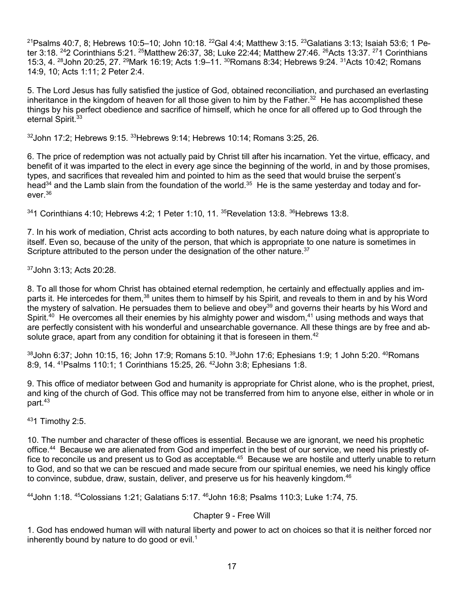$21$ Psalms 40:7, 8; Hebrews 10:5–10; John 10:18.  $22$ Gal 4:4; Matthew 3:15.  $23$ Galatians 3:13; Isaiah 53:6; 1 Peter 3:18. <sup>24</sup>2 Corinthians 5:21. <sup>25</sup>Matthew 26:37, 38; Luke 22:44; Matthew 27:46. <sup>26</sup>Acts 13:37. <sup>27</sup>1 Corinthians 15:3, 4. 28John 20:25, 27. 29Mark 16:19; Acts 1:9–11. 30Romans 8:34; Hebrews 9:24. 31Acts 10:42; Romans 14:9, 10; Acts 1:11; 2 Peter 2:4.

5. The Lord Jesus has fully satisfied the justice of God, obtained reconciliation, and purchased an everlasting inheritance in the kingdom of heaven for all those given to him by the Father.<sup>32</sup> He has accomplished these things by his perfect obedience and sacrifice of himself, which he once for all offered up to God through the eternal Spirit.<sup>33</sup>

 $32$ John 17:2; Hebrews 9:15.  $33$ Hebrews 9:14; Hebrews 10:14; Romans 3:25, 26.

6. The price of redemption was not actually paid by Christ till after his incarnation. Yet the virtue, efficacy, and benefit of it was imparted to the elect in every age since the beginning of the world, in and by those promises, types, and sacrifices that revealed him and pointed to him as the seed that would bruise the serpent's head<sup>34</sup> and the Lamb slain from the foundation of the world.<sup>35</sup> He is the same yesterday and today and for $e$ ver $^{36}$ 

 $341$  Corinthians 4:10; Hebrews 4:2: 1 Peter 1:10, 11,  $35$ Revelation 13:8,  $36$ Hebrews 13:8.

7. In his work of mediation, Christ acts according to both natures, by each nature doing what is appropriate to itself. Even so, because of the unity of the person, that which is appropriate to one nature is sometimes in Scripture attributed to the person under the designation of the other nature.<sup>37</sup>

37John 3:13; Acts 20:28.

8. To all those for whom Christ has obtained eternal redemption, he certainly and effectually applies and imparts it. He intercedes for them,<sup>38</sup> unites them to himself by his Spirit, and reveals to them in and by his Word the mystery of salvation. He persuades them to believe and obey<sup>39</sup> and governs their hearts by his Word and Spirit.<sup>40</sup> He overcomes all their enemies by his almighty power and wisdom.<sup>41</sup> using methods and ways that are perfectly consistent with his wonderful and unsearchable governance. All these things are by free and absolute grace, apart from any condition for obtaining it that is foreseen in them.<sup>42</sup>

 $38$ John 6:37; John 10:15, 16; John 17:9; Romans 5:10.  $39$ John 17:6; Ephesians 1:9; 1 John 5:20.  $40$ Romans 8:9, 14. 41Psalms 110:1; 1 Corinthians 15:25, 26. 42John 3:8; Ephesians 1:8.

9. This office of mediator between God and humanity is appropriate for Christ alone, who is the prophet, priest, and king of the church of God. This office may not be transferred from him to anyone else, either in whole or in part.43

431 Timothy 2:5.

10. The number and character of these offices is essential. Because we are ignorant, we need his prophetic office.<sup>44</sup> Because we are alienated from God and imperfect in the best of our service, we need his priestly office to reconcile us and present us to God as acceptable.<sup>45</sup> Because we are hostile and utterly unable to return to God, and so that we can be rescued and made secure from our spiritual enemies, we need his kingly office to convince, subdue, draw, sustain, deliver, and preserve us for his heavenly kingdom.<sup>46</sup>

44John 1:18. 45Colossians 1:21; Galatians 5:17. 46John 16:8; Psalms 110:3; Luke 1:74, 75.

### Chapter 9 - Free Will

1. God has endowed human will with natural liberty and power to act on choices so that it is neither forced nor inherently bound by nature to do good or evil.<sup>1</sup>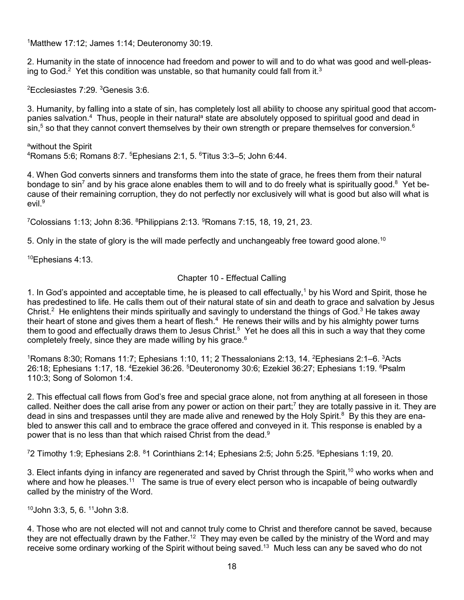1 Matthew 17:12; James 1:14; Deuteronomy 30:19.

2. Humanity in the state of innocence had freedom and power to will and to do what was good and well-pleasing to God.<sup>2</sup> Yet this condition was unstable, so that humanity could fall from it.<sup>3</sup>

 ${}^{2}$ Ecclesiastes 7:29.  ${}^{3}$ Genesis 3:6.

3. Humanity, by falling into a state of sin, has completely lost all ability to choose any spiritual good that accompanies salvation.<sup>4</sup> Thus, people in their natural<sup>a</sup> state are absolutely opposed to spiritual good and dead in  $\sin 5$  so that they cannot convert themselves by their own strength or prepare themselves for conversion.<sup>6</sup>

a<sub>without</sub> the Spirit  $^4$ Romans 5:6; Romans 8:7.  $^5$ Ephesians 2:1, 5.  $^6$ Titus 3:3–5; John 6:44.

4. When God converts sinners and transforms them into the state of grace, he frees them from their natural bondage to sin<sup>7</sup> and by his grace alone enables them to will and to do freely what is spiritually good.<sup>8</sup> Yet because of their remaining corruption, they do not perfectly nor exclusively will what is good but also will what is evil<sup>9</sup>

 ${\rm ^7}$ Colossians 1:13; John 8:36.  ${\rm ^8}$ Philippians 2:13.  ${\rm ^9}$ Romans 7:15, 18, 19, 21, 23.

5. Only in the state of glory is the will made perfectly and unchangeably free toward good alone.<sup>10</sup>

 $10$ Ephesians 4:13.

# Chapter 10 - Effectual Calling

1. In God's appointed and acceptable time, he is pleased to call effectually,<sup>1</sup> by his Word and Spirit, those he has predestined to life. He calls them out of their natural state of sin and death to grace and salvation by Jesus Christ.<sup>2</sup> He enlightens their minds spiritually and savingly to understand the things of God.<sup>3</sup> He takes away their heart of stone and gives them a heart of flesh.<sup>4</sup> He renews their wills and by his almighty power turns them to good and effectually draws them to Jesus Christ.<sup>5</sup> Yet he does all this in such a way that they come completely freely, since they are made willing by his grace.<sup>6</sup>

<sup>1</sup>Romans 8:30; Romans 11:7; Ephesians 1:10, 11; 2 Thessalonians 2:13, 14. <sup>2</sup>Ephesians 2:1–6. <sup>3</sup>Acts 26:18; Ephesians 1:17, 18. <sup>4</sup>Ezekiel 36:26. <sup>5</sup>Deuteronomy 30:6; Ezekiel 36:27; Ephesians 1:19. <sup>6</sup>Psalm 110:3; Song of Solomon 1:4.

2. This effectual call flows from God's free and special grace alone, not from anything at all foreseen in those called. Neither does the call arise from any power or action on their part;<sup>7</sup> they are totally passive in it. They are dead in sins and trespasses until they are made alive and renewed by the Holy Spirit.<sup>8</sup> By this they are enabled to answer this call and to embrace the grace offered and conveyed in it. This response is enabled by a power that is no less than that which raised Christ from the dead.<sup>9</sup>

 $72$  Timothy 1:9; Ephesians 2:8.  $81$  Corinthians 2:14; Ephesians 2:5; John 5:25.  $9$ Ephesians 1:19, 20.

3. Elect infants dying in infancy are regenerated and saved by Christ through the Spirit,<sup>10</sup> who works when and where and how he pleases.<sup>11</sup> The same is true of every elect person who is incapable of being outwardly called by the ministry of the Word.

10John 3:3, 5, 6. 11John 3:8.

4. Those who are not elected will not and cannot truly come to Christ and therefore cannot be saved, because they are not effectually drawn by the Father.<sup>12</sup> They may even be called by the ministry of the Word and may receive some ordinary working of the Spirit without being saved.13 Much less can any be saved who do not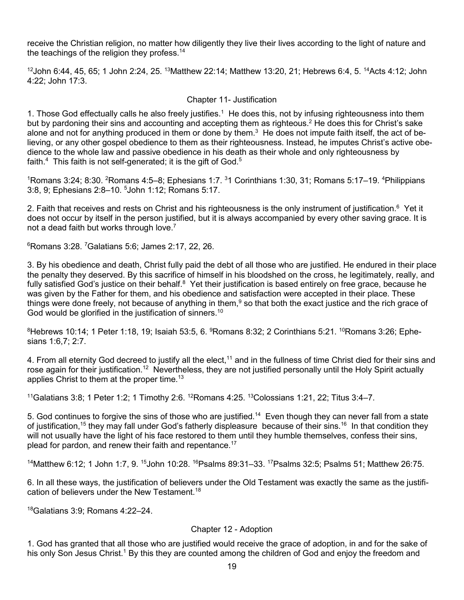receive the Christian religion, no matter how diligently they live their lives according to the light of nature and the teachings of the religion they profess.<sup>14</sup>

 $12$ John 6:44, 45, 65; 1 John 2:24, 25.  $13$ Matthew 22:14; Matthew 13:20, 21; Hebrews 6:4, 5.  $14$ Acts 4:12; John 4:22; John 17:3.

## Chapter 11- Justification

1. Those God effectually calls he also freely justifies.<sup>1</sup> He does this, not by infusing righteousness into them but by pardoning their sins and accounting and accepting them as righteous.<sup>2</sup> He does this for Christ's sake alone and not for anything produced in them or done by them. $3$  He does not impute faith itself, the act of believing, or any other gospel obedience to them as their righteousness. Instead, he imputes Christ's active obedience to the whole law and passive obedience in his death as their whole and only righteousness by faith.<sup>4</sup> This faith is not self-generated; it is the gift of God.<sup>5</sup>

<sup>1</sup>Romans 3:24; 8:30. <sup>2</sup>Romans 4:5–8; Ephesians 1:7. <sup>3</sup>1 Corinthians 1:30, 31; Romans 5:17–19. <sup>4</sup>Philippians 3:8, 9; Ephesians 2:8-10. <sup>5</sup>John 1:12; Romans 5:17.

2. Faith that receives and rests on Christ and his righteousness is the only instrument of justification.<sup>6</sup> Yet it does not occur by itself in the person justified, but it is always accompanied by every other saving grace. It is not a dead faith but works through love.<sup>7</sup>

 $6$ Romans 3:28.  $7$ Galatians 5:6; James 2:17, 22, 26.

3. By his obedience and death, Christ fully paid the debt of all those who are justified. He endured in their place the penalty they deserved. By this sacrifice of himself in his bloodshed on the cross, he legitimately, really, and fully satisfied God's justice on their behalf.<sup>8</sup> Yet their justification is based entirely on free grace, because he was given by the Father for them, and his obedience and satisfaction were accepted in their place. These things were done freely, not because of anything in them,<sup>9</sup> so that both the exact justice and the rich grace of God would be glorified in the justification of sinners.<sup>10</sup>

 $^8$ Hebrews 10:14; 1 Peter 1:18, 19; Isaiah 53:5, 6.  $^9$ Romans 8:32; 2 Corinthians 5:21.  $^{10}$ Romans 3:26; Ephesians 1:6,7; 2:7.

4. From all eternity God decreed to justify all the elect,<sup>11</sup> and in the fullness of time Christ died for their sins and rose again for their justification.<sup>12</sup> Nevertheless, they are not justified personally until the Holy Spirit actually applies Christ to them at the proper time.<sup>13</sup>

<sup>11</sup>Galatians 3:8; 1 Peter 1:2; 1 Timothy 2:6. <sup>12</sup>Romans 4:25. <sup>13</sup>Colossians 1:21, 22; Titus 3:4–7.

5. God continues to forgive the sins of those who are justified.<sup>14</sup> Even though they can never fall from a state of justification,<sup>15</sup> they may fall under God's fatherly displeasure because of their sins.<sup>16</sup> In that condition they will not usually have the light of his face restored to them until they humble themselves, confess their sins, plead for pardon, and renew their faith and repentance.17

14Matthew 6:12; 1 John 1:7, 9. <sup>15</sup>John 10:28. <sup>16</sup>Psalms 89:31–33. <sup>17</sup>Psalms 32:5; Psalms 51; Matthew 26:75.

6. In all these ways, the justification of believers under the Old Testament was exactly the same as the justification of believers under the New Testament.18

18Galatians 3:9; Romans 4:22–24.

# Chapter 12 - Adoption

1. God has granted that all those who are justified would receive the grace of adoption, in and for the sake of his only Son Jesus Christ.<sup>1</sup> By this they are counted among the children of God and enjoy the freedom and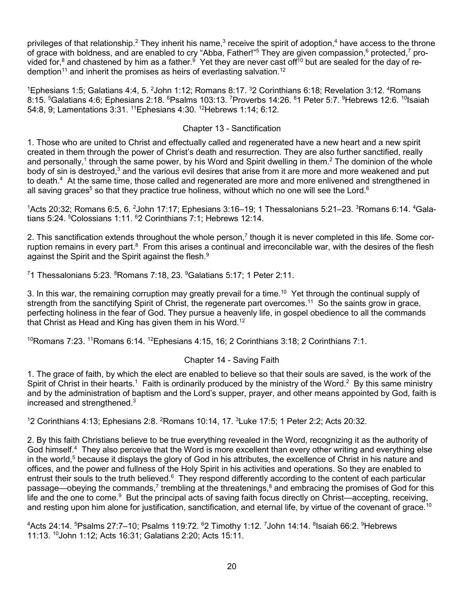privileges of that relationship.<sup>2</sup> They inherit his name,<sup>3</sup> receive the spirit of adoption,<sup>4</sup> have access to the throne of grace with boldness, and are enabled to cry "Abba, Father!"<sup>5</sup> They are given compassion,<sup>6</sup> protected,<sup>7</sup> provided for,<sup>8</sup> and chastened by him as a father.<sup>9</sup> Yet they are never cast off<sup>10</sup> but are sealed for the day of redemption<sup>11</sup> and inherit the promises as heirs of everlasting salvation.<sup>12</sup>

<sup>1</sup>Ephesians 1:5; Galatians 4:4, 5. <sup>2</sup>John 1:12; Romans 8:17. <sup>3</sup>2 Corinthians 6:18; Revelation 3:12. <sup>4</sup>Romans 8:15. <sup>5</sup>Galatians 4:6; Ephesians 2:18. <sup>6</sup>Psalms 103:13. <sup>7</sup>Proverbs 14:26. <sup>8</sup>1 Peter 5:7. <sup>9</sup>Hebrews 12:6. <sup>10</sup>Isaiah 54:8, 9; Lamentations 3:31. 11Ephesians 4:30. 12Hebrews 1:14; 6:12.

## Chapter 13 - Sanctification

1. Those who are united to Christ and effectually called and regenerated have a new heart and a new spirit created in them through the power of Christ's death and resurrection. They are also further sanctified, really and personally,<sup>1</sup> through the same power, by his Word and Spirit dwelling in them.<sup>2</sup> The dominion of the whole body of sin is destroyed,<sup>3</sup> and the various evil desires that arise from it are more and more weakened and put to death.<sup>4</sup> At the same time, those called and regenerated are more and more enlivened and strengthened in all saving graces<sup>5</sup> so that they practice true holiness, without which no one will see the Lord.<sup>6</sup>

 $^1$ Acts 20:32; Romans 6:5, 6.  $^2$ John 17:17; Ephesians 3:16–19; 1 Thessalonians 5:21–23.  $^3$ Romans 6:14.  $^4$ Galatians 5:24. <sup>5</sup>Colossians 1:11. <sup>6</sup>2 Corinthians 7:1; Hebrews 12:14.

2. This sanctification extends throughout the whole person,<sup>7</sup> though it is never completed in this life. Some corruption remains in every part.<sup>8</sup> From this arises a continual and irreconcilable war, with the desires of the flesh against the Spirit and the Spirit against the flesh.<sup>9</sup>

 $^7$ 1 Thessalonians 5:23.  $^8$ Romans 7:18, 23.  $^9$ Galatians 5:17; 1 Peter 2:11.

3. In this war, the remaining corruption may greatly prevail for a time.<sup>10</sup> Yet through the continual supply of strength from the sanctifying Spirit of Christ, the regenerate part overcomes.<sup>11</sup> So the saints grow in grace, perfecting holiness in the fear of God. They pursue a heavenly life, in gospel obedience to all the commands that Christ as Head and King has given them in his Word.<sup>12</sup>

 $10R$ omans 7:23.  $11R$ omans 6:14.  $12R$  Ephesians 4:15, 16; 2 Corinthians 3:18; 2 Corinthians 7:1.

### Chapter 14 - Saving Faith

1. The grace of faith, by which the elect are enabled to believe so that their souls are saved, is the work of the Spirit of Christ in their hearts.<sup>1</sup> Faith is ordinarily produced by the ministry of the Word.<sup>2</sup> By this same ministry and by the administration of baptism and the Lord's supper, prayer, and other means appointed by God, faith is increased and strengthened.3

<sup>1</sup>2 Corinthians 4:13; Ephesians 2:8. <sup>2</sup>Romans 10:14, 17. <sup>3</sup>Luke 17:5; 1 Peter 2:2; Acts 20:32.

2. By this faith Christians believe to be true everything revealed in the Word, recognizing it as the authority of God himself.<sup>4</sup> They also perceive that the Word is more excellent than every other writing and everything else in the world,<sup>5</sup> because it displays the glory of God in his attributes, the excellence of Christ in his nature and offices, and the power and fullness of the Holy Spirit in his activities and operations. So they are enabled to entrust their souls to the truth believed.<sup>6</sup> They respond differently according to the content of each particular passage—obeying the commands,<sup>7</sup> trembling at the threatenings, $8$  and embracing the promises of God for this life and the one to come.<sup>9</sup> But the principal acts of saving faith focus directly on Christ—accepting, receiving, and resting upon him alone for justification, sanctification, and eternal life, by virtue of the covenant of grace.<sup>10</sup>

4 Acts 24:14. <sup>5</sup> Psalms 27:7–10; Psalms 119:72. <sup>6</sup> 2 Timothy 1:12. <sup>7</sup> John 14:14. <sup>8</sup> Isaiah 66:2. <sup>9</sup> Hebrews 11:13. 10John 1:12; Acts 16:31; Galatians 2:20; Acts 15:11.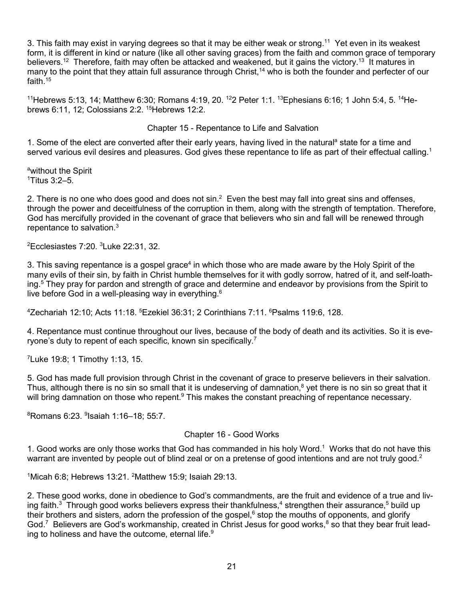3. This faith may exist in varying degrees so that it may be either weak or strong.<sup>11</sup> Yet even in its weakest form, it is different in kind or nature (like all other saving graces) from the faith and common grace of temporary believers.<sup>12</sup> Therefore, faith may often be attacked and weakened, but it gains the victory.<sup>13</sup> It matures in many to the point that they attain full assurance through Christ,<sup>14</sup> who is both the founder and perfecter of our faith $15$ 

<sup>11</sup>Hebrews 5:13, 14; Matthew 6:30; Romans 4:19, 20. <sup>12</sup>2 Peter 1:1. <sup>13</sup>Ephesians 6:16; 1 John 5:4, 5. <sup>14</sup>Hebrews 6:11, 12; Colossians 2:2. 15Hebrews 12:2.

### Chapter 15 - Repentance to Life and Salvation

1. Some of the elect are converted after their early years, having lived in the natural<sup>a</sup> state for a time and served various evil desires and pleasures. God gives these repentance to life as part of their effectual calling.<sup>1</sup>

a without the Spirit 1 Titus 3:2–5.

2. There is no one who does good and does not  $\sin^2$  Even the best may fall into great sins and offenses, through the power and deceitfulness of the corruption in them, along with the strength of temptation. Therefore, God has mercifully provided in the covenant of grace that believers who sin and fall will be renewed through repentance to salvation.<sup>3</sup>

 ${}^{2}$ Ecclesiastes 7:20.  ${}^{3}$ Luke 22:31, 32.

3. This saving repentance is a gospel grace<sup>4</sup> in which those who are made aware by the Holy Spirit of the many evils of their sin, by faith in Christ humble themselves for it with godly sorrow, hatred of it, and self-loathing.<sup>5</sup> They pray for pardon and strength of grace and determine and endeavor by provisions from the Spirit to live before God in a well-pleasing way in everything. $6$ 

4 Zechariah 12:10; Acts 11:18. <sup>5</sup> Ezekiel 36:31; 2 Corinthians 7:11. <sup>6</sup> Psalms 119:6, 128.

4. Repentance must continue throughout our lives, because of the body of death and its activities. So it is everyone's duty to repent of each specific, known sin specifically.<sup>7</sup>

<sup>7</sup> Luke 19:8; 1 Timothy 1:13, 15.

5. God has made full provision through Christ in the covenant of grace to preserve believers in their salvation. Thus, although there is no sin so small that it is undeserving of damnation, $8$  yet there is no sin so great that it will bring damnation on those who repent.<sup>9</sup> This makes the constant preaching of repentance necessary.

8 Romans 6:23. <sup>9</sup> Isaiah 1:16–18; 55:7.

#### Chapter 16 - Good Works

1. Good works are only those works that God has commanded in his holy Word.<sup>1</sup> Works that do not have this warrant are invented by people out of blind zeal or on a pretense of good intentions and are not truly good.<sup>2</sup>

<sup>1</sup>Micah 6:8; Hebrews 13:21. <sup>2</sup>Matthew 15:9; Isaiah 29:13.

2. These good works, done in obedience to God's commandments, are the fruit and evidence of a true and living faith. $3$  Through good works believers express their thankfulness, 4 strengthen their assurance,  $5$  build up their brothers and sisters, adorn the profession of the gospel, $6$  stop the mouths of opponents, and glorify God.<sup>7</sup> Believers are God's workmanship, created in Christ Jesus for good works,<sup>8</sup> so that they bear fruit leading to holiness and have the outcome, eternal life. $9$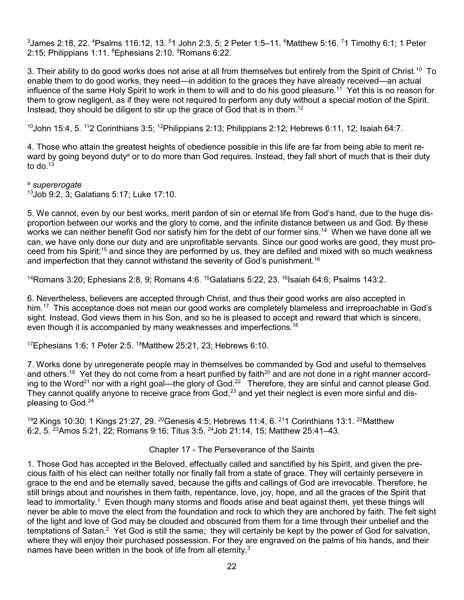$^3$ James 2:18, 22.  $^4$ Psalms 116:12, 13.  $^5$ 1 John 2:3, 5; 2 Peter 1:5–11.  $^6$ Matthew 5:16.  $^7$ 1 Timothy 6:1; 1 Peter 2:15; Philippians 1:11. <sup>8</sup>Ephesians 2:10. <sup>9</sup>Romans 6:22.

3. Their ability to do good works does not arise at all from themselves but entirely from the Spirit of Christ.<sup>10</sup> To enable them to do good works, they need—in addition to the graces they have already received—an actual influence of the same Holy Spirit to work in them to will and to do his good pleasure.<sup>11</sup> Yet this is no reason for them to grow negligent, as if they were not required to perform any duty without a special motion of the Spirit. Instead, they should be diligent to stir up the grace of God that is in them.<sup>12</sup>

 $10$ John 15:4, 5.  $112$  Corinthians 3:5;  $12$ Philippians 2:13; Philippians 2:12; Hebrews 6:11, 12; Isaiah 64:7.

4. Those who attain the greatest heights of obedience possible in this life are far from being able to merit reward by going beyond duty<sup>a</sup> or to do more than God requires. Instead, they fall short of much that is their duty to do. $13$ 

<sup>a</sup> *supererogate*

13Job 9:2, 3; Galatians 5:17; Luke 17:10.

5. We cannot, even by our best works, merit pardon of sin or eternal life from God's hand, due to the huge disproportion between our works and the glory to come, and the infinite distance between us and God. By these works we can neither benefit God nor satisfy him for the debt of our former sins.<sup>14</sup> When we have done all we can, we have only done our duty and are unprofitable servants. Since our good works are good, they must proceed from his Spirit;15 and since they are performed by us, they are defiled and mixed with so much weakness and imperfection that they cannot withstand the severity of God's punishment.<sup>16</sup>

<sup>14</sup>Romans 3:20; Ephesians 2:8, 9; Romans 4:6. <sup>15</sup>Galatians 5:22, 23. <sup>16</sup> Isaiah 64:6; Psalms 143:2.

6. Nevertheless, believers are accepted through Christ, and thus their good works are also accepted in him.<sup>17</sup> This acceptance does not mean our good works are completely blameless and irreproachable in God's sight. Instead, God views them in his Son, and so he is pleased to accept and reward that which is sincere, even though it is accompanied by many weaknesses and imperfections.<sup>18</sup>

<sup>17</sup>Ephesians 1:6; 1 Peter 2:5. <sup>18</sup>Matthew 25:21, 23; Hebrews 6:10.

7. Works done by unregenerate people may in themselves be commanded by God and useful to themselves and others.<sup>19</sup> Yet they do not come from a heart purified by faith<sup>20</sup> and are not done in a right manner according to the Word<sup>21</sup> nor with a right goal—the glory of God.<sup>22</sup> Therefore, they are sinful and cannot please God. They cannot qualify anyone to receive grace from God,<sup>23</sup> and yet their neglect is even more sinful and displeasing to God.24

<sup>19</sup>2 Kings 10:30; 1 Kings 21:27, 29. <sup>20</sup>Genesis 4:5; Hebrews 11:4, 6. <sup>21</sup>1 Corinthians 13:1. <sup>22</sup>Matthew 6:2, 5. 23Amos 5:21, 22; Romans 9:16; Titus 3:5. 24Job 21:14, 15; Matthew 25:41–43.

#### Chapter 17 - The Perseverance of the Saints

1. Those God has accepted in the Beloved, effectually called and sanctified by his Spirit, and given the precious faith of his elect can neither totally nor finally fall from a state of grace. They will certainly persevere in grace to the end and be eternally saved, because the gifts and callings of God are irrevocable. Therefore, he still brings about and nourishes in them faith, repentance, love, joy, hope, and all the graces of the Spirit that lead to immortality.<sup>1</sup> Even though many storms and floods arise and beat against them, yet these things will never be able to move the elect from the foundation and rock to which they are anchored by faith. The felt sight of the light and love of God may be clouded and obscured from them for a time through their unbelief and the temptations of Satan.<sup>2</sup> Yet God is still the same; they will certainly be kept by the power of God for salvation, where they will enjoy their purchased possession. For they are engraved on the palms of his hands, and their names have been written in the book of life from all eternity.<sup>3</sup>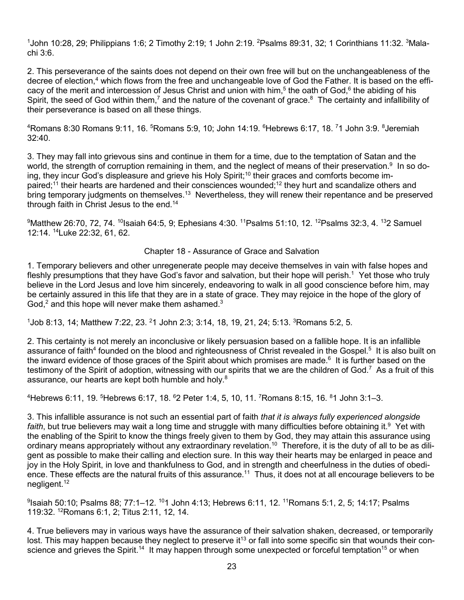$^{\text{1}}$ John 10:28, 29; Philippians 1:6; 2 Timothy 2:19; 1 John 2:19.  $^{\text{2}}$ Psalms 89:31, 32; 1 Corinthians 11:32.  $^{\text{3}}$ Malachi 3:6.

2. This perseverance of the saints does not depend on their own free will but on the unchangeableness of the decree of election,<sup>4</sup> which flows from the free and unchangeable love of God the Father. It is based on the efficacy of the merit and intercession of Jesus Christ and union with him,<sup>5</sup> the oath of God,<sup>6</sup> the abiding of his Spirit, the seed of God within them,<sup>7</sup> and the nature of the covenant of grace.<sup>8</sup> The certainty and infallibility of their perseverance is based on all these things.

4 Romans 8:30 Romans 9:11, 16. <sup>5</sup> Romans 5:9, 10; John 14:19. <sup>6</sup> Hebrews 6:17, 18. <sup>7</sup> 1 John 3:9. <sup>8</sup> Jeremiah 32:40.

3. They may fall into grievous sins and continue in them for a time, due to the temptation of Satan and the world, the strength of corruption remaining in them, and the neglect of means of their preservation.<sup>9</sup> In so doing, they incur God's displeasure and grieve his Holy Spirit;<sup>10</sup> their graces and comforts become impaired;<sup>11</sup> their hearts are hardened and their consciences wounded;<sup>12</sup> they hurt and scandalize others and bring temporary judgments on themselves.<sup>13</sup> Nevertheless, they will renew their repentance and be preserved through faith in Christ Jesus to the end.<sup>14</sup>

 $^9$ Matthew 26:70, 72, 74.  $^{10}$ Isaiah 64:5, 9; Ephesians 4:30.  $^{11}$ Psalms 51:10, 12.  $^{12}$ Psalms 32:3, 4.  $^{13}$ 2 Samuel 12:14. 14Luke 22:32, 61, 62.

### Chapter 18 - Assurance of Grace and Salvation

1. Temporary believers and other unregenerate people may deceive themselves in vain with false hopes and fleshly presumptions that they have God's favor and salvation, but their hope will perish.<sup>1</sup> Yet those who truly believe in the Lord Jesus and love him sincerely, endeavoring to walk in all good conscience before him, may be certainly assured in this life that they are in a state of grace. They may rejoice in the hope of the glory of God,<sup>2</sup> and this hope will never make them ashamed.<sup>3</sup>

 $1$ Job 8:13, 14; Matthew 7:22, 23.  $21$  John 2:3; 3:14, 18, 19, 21, 24; 5:13.  $3$ Romans 5:2, 5.

2. This certainty is not merely an inconclusive or likely persuasion based on a fallible hope. It is an infallible assurance of faith<sup>4</sup> founded on the blood and righteousness of Christ revealed in the Gospel.<sup>5</sup> It is also built on the inward evidence of those graces of the Spirit about which promises are made.<sup>6</sup> It is further based on the testimony of the Spirit of adoption, witnessing with our spirits that we are the children of God.<sup>7</sup> As a fruit of this assurance, our hearts are kept both humble and holy.<sup>8</sup>

4 Hebrews 6:11, 19. <sup>5</sup> Hebrews 6:17, 18. <sup>6</sup> 2 Peter 1:4, 5, 10, 11. <sup>7</sup> Romans 8:15, 16. <sup>8</sup> 1 John 3:1–3.

3. This infallible assurance is not such an essential part of faith *that it is always fully experienced alongside faith*, but true believers may wait a long time and struggle with many difficulties before obtaining it.9 Yet with the enabling of the Spirit to know the things freely given to them by God, they may attain this assurance using ordinary means appropriately without any extraordinary revelation.<sup>10</sup> Therefore, it is the duty of all to be as diligent as possible to make their calling and election sure. In this way their hearts may be enlarged in peace and joy in the Holy Spirit, in love and thankfulness to God, and in strength and cheerfulness in the duties of obedience. These effects are the natural fruits of this assurance.<sup>11</sup> Thus, it does not at all encourage believers to be negligent.<sup>12</sup>

9 Isaiah 50:10; Psalms 88; 77:1–12. 101 John 4:13; Hebrews 6:11, 12. 11Romans 5:1, 2, 5; 14:17; Psalms 119:32. 12Romans 6:1, 2; Titus 2:11, 12, 14.

4. True believers may in various ways have the assurance of their salvation shaken, decreased, or temporarily lost. This may happen because they neglect to preserve it<sup>13</sup> or fall into some specific sin that wounds their conscience and grieves the Spirit.<sup>14</sup> It may happen through some unexpected or forceful temptation<sup>15</sup> or when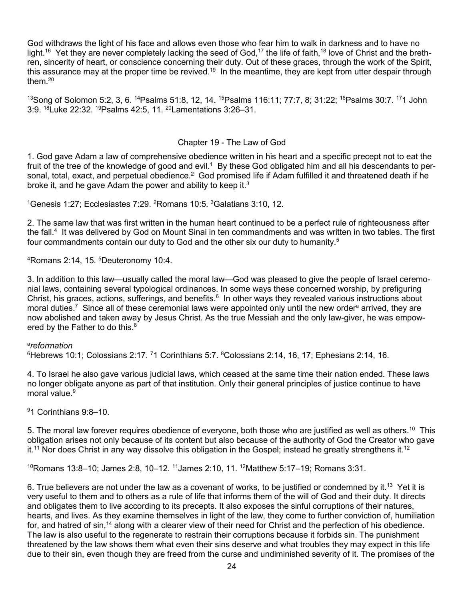God withdraws the light of his face and allows even those who fear him to walk in darkness and to have no light.<sup>16</sup> Yet they are never completely lacking the seed of God,<sup>17</sup> the life of faith,<sup>18</sup> love of Christ and the brethren, sincerity of heart, or conscience concerning their duty. Out of these graces, through the work of the Spirit, this assurance may at the proper time be revived.<sup>19</sup> In the meantime, they are kept from utter despair through them $20$ 

<sup>13</sup>Song of Solomon 5:2, 3, 6. <sup>14</sup>Psalms 51:8, 12, 14. <sup>15</sup>Psalms 116:11; 77:7, 8; 31:22; <sup>16</sup>Psalms 30:7. <sup>17</sup>1 John 3:9. 18Luke 22:32. 19Psalms 42:5, 11. 20Lamentations 3:26–31.

## Chapter 19 - The Law of God

1. God gave Adam a law of comprehensive obedience written in his heart and a specific precept not to eat the fruit of the tree of the knowledge of good and evil.<sup>1</sup> By these God obligated him and all his descendants to personal, total, exact, and perpetual obedience.<sup>2</sup> God promised life if Adam fulfilled it and threatened death if he broke it, and he gave Adam the power and ability to keep it.<sup>3</sup>

<sup>1</sup>Genesis 1:27; Ecclesiastes 7:29. <sup>2</sup>Romans 10:5. <sup>3</sup>Galatians 3:10, 12.

2. The same law that was first written in the human heart continued to be a perfect rule of righteousness after the fall.<sup>4</sup> It was delivered by God on Mount Sinai in ten commandments and was written in two tables. The first four commandments contain our duty to God and the other six our duty to humanity.<sup>5</sup>

4 Romans 2:14, 15. <sup>5</sup> Deuteronomy 10:4.

3. In addition to this law—usually called the moral law—God was pleased to give the people of Israel ceremonial laws, containing several typological ordinances. In some ways these concerned worship, by prefiguring Christ, his graces, actions, sufferings, and benefits.<sup>6</sup> In other ways they revealed various instructions about moral duties.<sup>7</sup> Since all of these ceremonial laws were appointed only until the new order<sup>a</sup> arrived, they are now abolished and taken away by Jesus Christ. As the true Messiah and the only law-giver, he was empowered by the Father to do this. $8<sup>8</sup>$ 

## a *reformation*

 $^6$ Hebrews 10:1; Colossians 2:17.  $^7$ 1 Corinthians 5:7.  $^8$ Colossians 2:14, 16, 17; Ephesians 2:14, 16.

4. To Israel he also gave various judicial laws, which ceased at the same time their nation ended. These laws no longer obligate anyone as part of that institution. Only their general principles of justice continue to have moral value $9$ 

9 1 Corinthians 9:8–10.

5. The moral law forever requires obedience of everyone, both those who are justified as well as others.<sup>10</sup> This obligation arises not only because of its content but also because of the authority of God the Creator who gave it.<sup>11</sup> Nor does Christ in any way dissolve this obligation in the Gospel; instead he greatly strengthens it.<sup>12</sup>

 $10$ Romans 13:8–10; James 2:8, 10–12.  $11$ James 2:10, 11.  $12$ Matthew 5:17–19; Romans 3:31.

6. True believers are not under the law as a covenant of works, to be justified or condemned by it.<sup>13</sup> Yet it is very useful to them and to others as a rule of life that informs them of the will of God and their duty. It directs and obligates them to live according to its precepts. It also exposes the sinful corruptions of their natures, hearts, and lives. As they examine themselves in light of the law, they come to further conviction of, humiliation for, and hatred of sin,<sup>14</sup> along with a clearer view of their need for Christ and the perfection of his obedience. The law is also useful to the regenerate to restrain their corruptions because it forbids sin. The punishment threatened by the law shows them what even their sins deserve and what troubles they may expect in this life due to their sin, even though they are freed from the curse and undiminished severity of it. The promises of the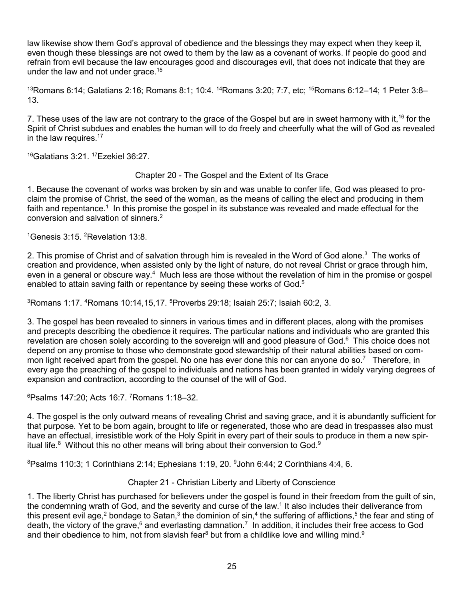law likewise show them God's approval of obedience and the blessings they may expect when they keep it, even though these blessings are not owed to them by the law as a covenant of works. If people do good and refrain from evil because the law encourages good and discourages evil, that does not indicate that they are under the law and not under grace.<sup>15</sup>

<sup>13</sup>Romans 6:14; Galatians 2:16; Romans 8:1; 10:4. <sup>14</sup>Romans 3:20; 7:7, etc; <sup>15</sup>Romans 6:12–14; 1 Peter 3:8– 13.

7. These uses of the law are not contrary to the grace of the Gospel but are in sweet harmony with it,<sup>16</sup> for the Spirit of Christ subdues and enables the human will to do freely and cheerfully what the will of God as revealed in the law requires.<sup>17</sup>

 $^{16}$ Galatians 3:21.  $^{17}$ Ezekiel 36:27.

## Chapter 20 - The Gospel and the Extent of Its Grace

1. Because the covenant of works was broken by sin and was unable to confer life, God was pleased to proclaim the promise of Christ, the seed of the woman, as the means of calling the elect and producing in them faith and repentance.<sup>1</sup> In this promise the gospel in its substance was revealed and made effectual for the conversion and salvation of sinners.2

<sup>1</sup>Genesis 3:15. <sup>2</sup>Revelation 13:8.

2. This promise of Christ and of salvation through him is revealed in the Word of God alone.<sup>3</sup> The works of creation and providence, when assisted only by the light of nature, do not reveal Christ or grace through him, even in a general or obscure way.<sup>4</sup> Much less are those without the revelation of him in the promise or gospel enabled to attain saving faith or repentance by seeing these works of God.<sup>5</sup>

 $^3$ Romans 1:17.  $^4$ Romans 10:14,15,17.  $^5$ Proverbs 29:18; Isaiah 25:7; Isaiah 60:2, 3.

3. The gospel has been revealed to sinners in various times and in different places, along with the promises and precepts describing the obedience it requires. The particular nations and individuals who are granted this revelation are chosen solely according to the sovereign will and good pleasure of God.<sup>6</sup> This choice does not depend on any promise to those who demonstrate good stewardship of their natural abilities based on common light received apart from the gospel. No one has ever done this nor can anyone do so.<sup>7</sup> Therefore, in every age the preaching of the gospel to individuals and nations has been granted in widely varying degrees of expansion and contraction, according to the counsel of the will of God.

6 Psalms 147:20; Acts 16:7. <sup>7</sup> Romans 1:18–32.

4. The gospel is the only outward means of revealing Christ and saving grace, and it is abundantly sufficient for that purpose. Yet to be born again, brought to life or regenerated, those who are dead in trespasses also must have an effectual, irresistible work of the Holy Spirit in every part of their souls to produce in them a new spiritual life. $8$  Without this no other means will bring about their conversion to God. $9$ 

 ${}^{8}$ Psalms 110:3; 1 Corinthians 2:14; Ephesians 1:19, 20.  ${}^{9}$ John 6:44; 2 Corinthians 4:4, 6.

# Chapter 21 - Christian Liberty and Liberty of Conscience

1. The liberty Christ has purchased for believers under the gospel is found in their freedom from the guilt of sin, the condemning wrath of God, and the severity and curse of the law.<sup>1</sup> It also includes their deliverance from this present evil age,<sup>2</sup> bondage to Satan,<sup>3</sup> the dominion of sin,<sup>4</sup> the suffering of afflictions,<sup>5</sup> the fear and sting of death, the victory of the grave,<sup>6</sup> and everlasting damnation.<sup>7</sup> In addition, it includes their free access to God and their obedience to him, not from slavish fear $8$  but from a childlike love and willing mind. $9$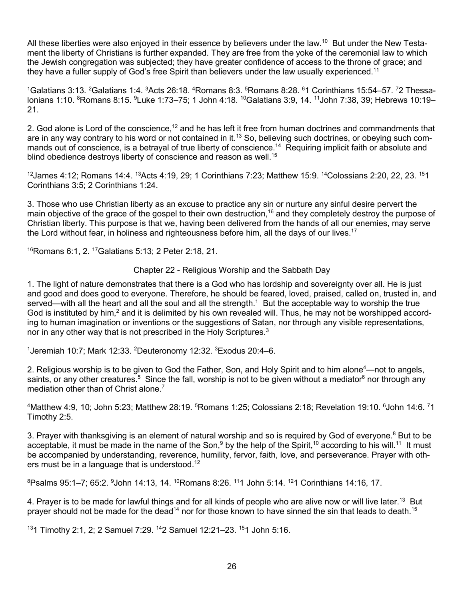All these liberties were also enjoyed in their essence by believers under the law.<sup>10</sup> But under the New Testament the liberty of Christians is further expanded. They are free from the yoke of the ceremonial law to which the Jewish congregation was subjected; they have greater confidence of access to the throne of grace; and they have a fuller supply of God's free Spirit than believers under the law usually experienced.<sup>11</sup>

 $^1$ Galatians 3:13.  $^2$ Galatians 1:4.  $^3$ Acts 26:18.  $^4$ Romans 8:3.  $^5$ Romans 8:28.  $^6$ 1 Corinthians 15:54–57.  $^7$ 2 Thessalonians 1:10. <sup>8</sup>Romans 8:15. <sup>9</sup>Luke 1:73–75; 1 John 4:18. <sup>10</sup>Galatians 3:9, 14. <sup>11</sup>John 7:38, 39; Hebrews 10:19– 21.

2. God alone is Lord of the conscience,<sup>12</sup> and he has left it free from human doctrines and commandments that are in any way contrary to his word or not contained in it.<sup>13</sup> So, believing such doctrines, or obeying such commands out of conscience, is a betrayal of true liberty of conscience.<sup>14</sup> Requiring implicit faith or absolute and blind obedience destroys liberty of conscience and reason as well.<sup>15</sup>

 $12$ James 4:12; Romans 14:4.  $13$ Acts 4:19, 29; 1 Corinthians 7:23; Matthew 15:9.  $14$ Colossians 2:20, 22, 23.  $151$ Corinthians 3:5; 2 Corinthians 1:24.

3. Those who use Christian liberty as an excuse to practice any sin or nurture any sinful desire pervert the main objective of the grace of the gospel to their own destruction,<sup>16</sup> and they completely destroy the purpose of Christian liberty. This purpose is that we, having been delivered from the hands of all our enemies, may serve the Lord without fear, in holiness and righteousness before him, all the days of our lives.<sup>17</sup>

16Romans 6:1, 2. 17Galatians 5:13; 2 Peter 2:18, 21.

Chapter 22 - Religious Worship and the Sabbath Day

1. The light of nature demonstrates that there is a God who has lordship and sovereignty over all. He is just and good and does good to everyone. Therefore, he should be feared, loved, praised, called on, trusted in, and served—with all the heart and all the soul and all the strength.<sup>1</sup> But the acceptable way to worship the true God is instituted by him,<sup>2</sup> and it is delimited by his own revealed will. Thus, he may not be worshipped according to human imagination or inventions or the suggestions of Satan, nor through any visible representations, nor in any other way that is not prescribed in the Holy Scriptures.<sup>3</sup>

<sup>1</sup>Jeremiah 10:7; Mark 12:33. <sup>2</sup>Deuteronomy 12:32. <sup>3</sup>Exodus 20:4–6.

2. Religious worship is to be given to God the Father, Son, and Holy Spirit and to him alone<sup>4</sup>—not to angels, saints, or any other creatures.<sup>5</sup> Since the fall, worship is not to be given without a mediator<sup>6</sup> nor through any mediation other than of Christ alone.<sup>7</sup>

 $4$ Matthew 4:9, 10; John 5:23; Matthew 28:19.  $5$ Romans 1:25; Colossians 2:18; Revelation 19:10.  $6$ John 14:6.  $71$ Timothy 2:5.

3. Prayer with thanksgiving is an element of natural worship and so is required by God of everyone.<sup>8</sup> But to be acceptable, it must be made in the name of the Son,<sup>9</sup> by the help of the Spirit,<sup>10</sup> according to his will.<sup>11</sup> It must be accompanied by understanding, reverence, humility, fervor, faith, love, and perseverance. Prayer with others must be in a language that is understood.<sup>12</sup>

 $^8$ Psalms 95:1–7; 65:2.  $^9$ John 14:13, 14.  $^{10}$ Romans 8:26.  $^{11}$ 1 John 5:14.  $^{12}$ 1 Corinthians 14:16, 17.

4. Prayer is to be made for lawful things and for all kinds of people who are alive now or will live later.<sup>13</sup> But prayer should not be made for the dead<sup>14</sup> nor for those known to have sinned the sin that leads to death.<sup>15</sup>

131 Timothy 2:1, 2; 2 Samuel 7:29. <sup>14</sup>2 Samuel 12:21-23. <sup>15</sup>1 John 5:16.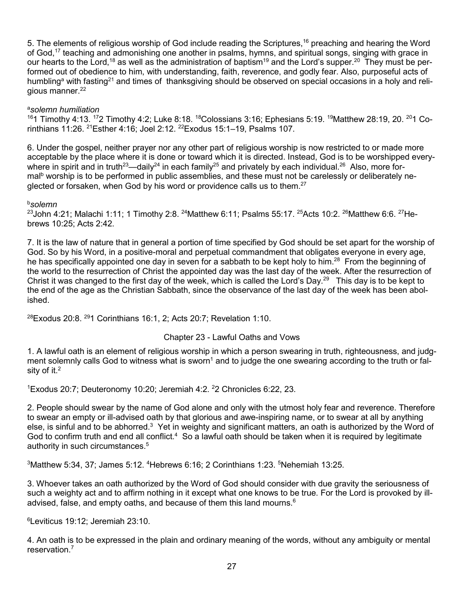5. The elements of religious worship of God include reading the Scriptures,<sup>16</sup> preaching and hearing the Word of God,<sup>17</sup> teaching and admonishing one another in psalms, hymns, and spiritual songs, singing with grace in our hearts to the Lord,<sup>18</sup> as well as the administration of baptism<sup>19</sup> and the Lord's supper.<sup>20</sup> They must be performed out of obedience to him, with understanding, faith, reverence, and godly fear. Also, purposeful acts of humbling<sup>a</sup> with fasting<sup>21</sup> and times of thanksgiving should be observed on special occasions in a holy and religious manner.<sup>22</sup>

# a *solemn humiliation*

<sup>16</sup>1 Timothy 4:13. <sup>17</sup>2 Timothy 4:2; Luke 8:18. <sup>18</sup>Colossians 3:16; Ephesians 5:19. <sup>19</sup>Matthew 28:19, 20. <sup>20</sup>1 Corinthians 11:26. <sup>21</sup>Esther 4:16; Joel 2:12. <sup>22</sup>Exodus 15:1–19, Psalms 107.

6. Under the gospel, neither prayer nor any other part of religious worship is now restricted to or made more acceptable by the place where it is done or toward which it is directed. Instead, God is to be worshipped everywhere in spirit and in truth<sup>23</sup>—daily<sup>24</sup> in each family<sup>25</sup> and privately by each individual.<sup>26</sup> Also, more formal<sup>b</sup> worship is to be performed in public assemblies, and these must not be carelessly or deliberately neglected or forsaken, when God by his word or providence calls us to them.<sup>27</sup>

b *solemn*

<sup>23</sup>John 4:21; Malachi 1:11; 1 Timothy 2:8. <sup>24</sup>Matthew 6:11; Psalms 55:17. <sup>25</sup>Acts 10:2. <sup>26</sup>Matthew 6:6. <sup>27</sup>Hebrews 10:25; Acts 2:42.

7. It is the law of nature that in general a portion of time specified by God should be set apart for the worship of God. So by his Word, in a positive-moral and perpetual commandment that obligates everyone in every age, he has specifically appointed one day in seven for a sabbath to be kept holy to him.<sup>28</sup> From the beginning of the world to the resurrection of Christ the appointed day was the last day of the week. After the resurrection of Christ it was changed to the first day of the week, which is called the Lord's Day.<sup>29</sup> This day is to be kept to the end of the age as the Christian Sabbath, since the observance of the last day of the week has been abolished.

 $28$ Exodus 20:8,  $291$  Corinthians 16:1, 2: Acts 20:7; Revelation 1:10.

# Chapter 23 - Lawful Oaths and Vows

1. A lawful oath is an element of religious worship in which a person swearing in truth, righteousness, and judgment solemnly calls God to witness what is sworn<sup>1</sup> and to judge the one swearing according to the truth or falsity of it. $2$ 

<sup>1</sup> Exodus 20:7; Deuteronomy 10:20; Jeremiah 4:2. <sup>2</sup>2 Chronicles 6:22, 23.

2. People should swear by the name of God alone and only with the utmost holy fear and reverence. Therefore to swear an empty or ill-advised oath by that glorious and awe-inspiring name, or to swear at all by anything else, is sinful and to be abhorred.<sup>3</sup> Yet in weighty and significant matters, an oath is authorized by the Word of God to confirm truth and end all conflict.<sup>4</sup> So a lawful oath should be taken when it is required by legitimate authority in such circumstances.<sup>5</sup>

 $3$ Matthew 5:34, 37; James 5:12.  $4$ Hebrews 6:16; 2 Corinthians 1:23.  $5$ Nehemiah 13:25.

3. Whoever takes an oath authorized by the Word of God should consider with due gravity the seriousness of such a weighty act and to affirm nothing in it except what one knows to be true. For the Lord is provoked by illadvised, false, and empty oaths, and because of them this land mourns.<sup>6</sup>

6 Leviticus 19:12; Jeremiah 23:10.

4. An oath is to be expressed in the plain and ordinary meaning of the words, without any ambiguity or mental reservation.7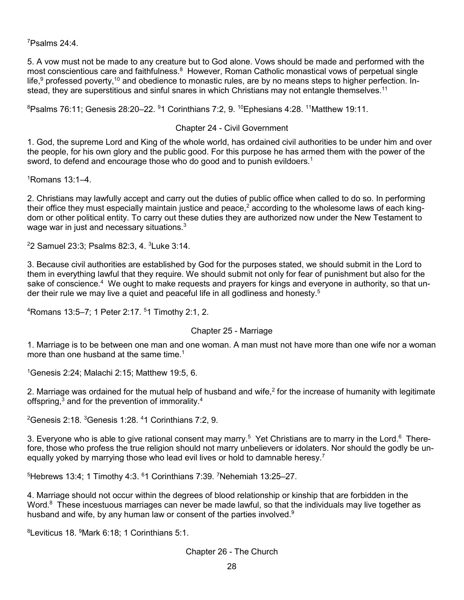7 Psalms 24:4.

5. A vow must not be made to any creature but to God alone. Vows should be made and performed with the most conscientious care and faithfulness.<sup>8</sup> However, Roman Catholic monastical vows of perpetual single life, $9$  professed poverty,<sup>10</sup> and obedience to monastic rules, are by no means steps to higher perfection. Instead, they are superstitious and sinful snares in which Christians may not entangle themselves.<sup>11</sup>

 $^8$ Psalms 76:11; Genesis 28:20–22.  $^9$ 1 Corinthians 7:2, 9.  $^{10}$ Ephesians 4:28.  $^{11}$ Matthew 19:11.

## Chapter 24 - Civil Government

1. God, the supreme Lord and King of the whole world, has ordained civil authorities to be under him and over the people, for his own glory and the public good. For this purpose he has armed them with the power of the sword, to defend and encourage those who do good and to punish evildoers.<sup>1</sup>

1 Romans 13:1–4.

2. Christians may lawfully accept and carry out the duties of public office when called to do so. In performing their office they must especially maintain justice and peace,<sup>2</sup> according to the wholesome laws of each kingdom or other political entity. To carry out these duties they are authorized now under the New Testament to wage war in just and necessary situations.<sup>3</sup>

2 2 Samuel 23:3; Psalms 82:3, 4. <sup>3</sup> Luke 3:14.

3. Because civil authorities are established by God for the purposes stated, we should submit in the Lord to them in everything lawful that they require. We should submit not only for fear of punishment but also for the sake of conscience.<sup>4</sup> We ought to make requests and prayers for kings and everyone in authority, so that under their rule we may live a quiet and peaceful life in all godliness and honesty.<sup>5</sup>

4 Romans 13:5–7; 1 Peter 2:17. <sup>5</sup> 1 Timothy 2:1, 2.

### Chapter 25 - Marriage

1. Marriage is to be between one man and one woman. A man must not have more than one wife nor a woman more than one husband at the same time.<sup>1</sup>

1 Genesis 2:24; Malachi 2:15; Matthew 19:5, 6.

2. Marriage was ordained for the mutual help of husband and wife, $2$  for the increase of humanity with legitimate offspring,<sup>3</sup> and for the prevention of immorality.<sup>4</sup>

 $^2$ Genesis 2:18.  $^3$ Genesis 1:28.  $^4$ 1 Corinthians 7:2, 9.

3. Everyone who is able to give rational consent may marry.<sup>5</sup> Yet Christians are to marry in the Lord.<sup>6</sup> Therefore, those who profess the true religion should not marry unbelievers or idolaters. Nor should the godly be unequally yoked by marrying those who lead evil lives or hold to damnable heresy.<sup>7</sup>

 $5$ Hebrews 13:4; 1 Timothy 4:3.  $61$  Corinthians 7:39. <sup>7</sup>Nehemiah 13:25–27.

4. Marriage should not occur within the degrees of blood relationship or kinship that are forbidden in the Word.<sup>8</sup> These incestuous marriages can never be made lawful, so that the individuals may live together as husband and wife, by any human law or consent of the parties involved.<sup>9</sup>

8 Leviticus 18. <sup>9</sup> Mark 6:18; 1 Corinthians 5:1.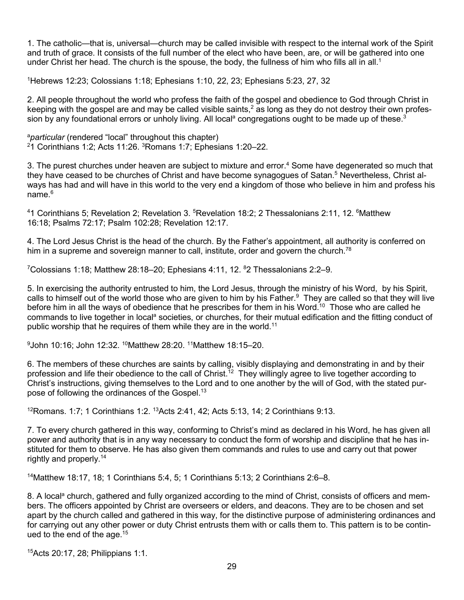1. The catholic—that is, universal—church may be called invisible with respect to the internal work of the Spirit and truth of grace. It consists of the full number of the elect who have been, are, or will be gathered into one under Christ her head. The church is the spouse, the body, the fullness of him who fills all in all.<sup>1</sup>

1 Hebrews 12:23; Colossians 1:18; Ephesians 1:10, 22, 23; Ephesians 5:23, 27, 32

2. All people throughout the world who profess the faith of the gospel and obedience to God through Christ in keeping with the gospel are and may be called visible saints,  $2$  as long as they do not destroy their own profession by any foundational errors or unholy living. All local<sup>a</sup> congregations ought to be made up of these.<sup>3</sup>

a *particular* (rendered "local" throughout this chapter) 2 1 Corinthians 1:2; Acts 11:26. <sup>3</sup> Romans 1:7; Ephesians 1:20–22.

3. The purest churches under heaven are subject to mixture and error.<sup>4</sup> Some have degenerated so much that they have ceased to be churches of Christ and have become synagogues of Satan.<sup>5</sup> Nevertheless, Christ always has had and will have in this world to the very end a kingdom of those who believe in him and profess his name $6$ 

<sup>4</sup>1 Corinthians 5; Revelation 2; Revelation 3. <sup>5</sup>Revelation 18:2; 2 Thessalonians 2:11, 12. <sup>6</sup>Matthew 16:18; Psalms 72:17; Psalm 102:28; Revelation 12:17.

4. The Lord Jesus Christ is the head of the church. By the Father's appointment, all authority is conferred on him in a supreme and sovereign manner to call, institute, order and govern the church.<sup>78</sup>

<sup>7</sup>Colossians 1:18; Matthew 28:18–20; Ephesians 4:11, 12. <sup>8</sup>2 Thessalonians 2:2–9.

5. In exercising the authority entrusted to him, the Lord Jesus, through the ministry of his Word, by his Spirit, calls to himself out of the world those who are given to him by his Father.<sup>9</sup> They are called so that they will live before him in all the ways of obedience that he prescribes for them in his Word.<sup>10</sup> Those who are called he commands to live together in local<sup>a</sup> societies, or churches, for their mutual edification and the fitting conduct of public worship that he requires of them while they are in the world.<sup>11</sup>

9 John 10:16; John 12:32. 10Matthew 28:20. 11Matthew 18:15–20.

6. The members of these churches are saints by calling, visibly displaying and demonstrating in and by their profession and life their obedience to the call of Christ.<sup>12</sup> They willingly agree to live together according to Christ's instructions, giving themselves to the Lord and to one another by the will of God, with the stated purpose of following the ordinances of the Gospel.<sup>13</sup>

<sup>12</sup>Romans. 1:7; 1 Corinthians 1:2. <sup>13</sup>Acts 2:41, 42; Acts 5:13, 14; 2 Corinthians 9:13.

7. To every church gathered in this way, conforming to Christ's mind as declared in his Word, he has given all power and authority that is in any way necessary to conduct the form of worship and discipline that he has instituted for them to observe. He has also given them commands and rules to use and carry out that power rightly and properly.14

14Matthew 18:17, 18; 1 Corinthians 5:4, 5; 1 Corinthians 5:13; 2 Corinthians 2:6–8.

8. A local<sup>a</sup> church, gathered and fully organized according to the mind of Christ, consists of officers and members. The officers appointed by Christ are overseers or elders, and deacons. They are to be chosen and set apart by the church called and gathered in this way, for the distinctive purpose of administering ordinances and for carrying out any other power or duty Christ entrusts them with or calls them to. This pattern is to be continued to the end of the age.  $15$ 

15Acts 20:17, 28; Philippians 1:1.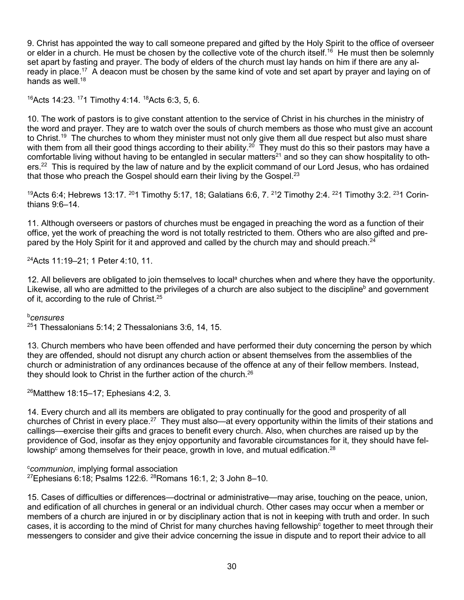9. Christ has appointed the way to call someone prepared and gifted by the Holy Spirit to the office of overseer or elder in a church. He must be chosen by the collective vote of the church itself.<sup>16</sup> He must then be solemnly set apart by fasting and prayer. The body of elders of the church must lay hands on him if there are any already in place.<sup>17</sup> A deacon must be chosen by the same kind of vote and set apart by prayer and laying on of hands as well. $18$ 

16Acts 14:23. 171 Timothy 4:14. 18Acts 6:3, 5, 6.

10. The work of pastors is to give constant attention to the service of Christ in his churches in the ministry of the word and prayer. They are to watch over the souls of church members as those who must give an account to Christ.<sup>19</sup> The churches to whom they minister must not only give them all due respect but also must share with them from all their good things according to their ability.<sup>20</sup> They must do this so their pastors may have a comfortable living without having to be entangled in secular matters<sup>21</sup> and so they can show hospitality to others.<sup>22</sup> This is required by the law of nature and by the explicit command of our Lord Jesus, who has ordained that those who preach the Gospel should earn their living by the Gospel. $^{23}$ 

<sup>19</sup>Acts 6:4; Hebrews 13:17. <sup>20</sup>1 Timothy 5:17, 18; Galatians 6:6, 7. <sup>21</sup>2 Timothy 2:4. <sup>22</sup>1 Timothy 3:2. <sup>23</sup>1 Corinthians 9:6–14.

11. Although overseers or pastors of churches must be engaged in preaching the word as a function of their office, yet the work of preaching the word is not totally restricted to them. Others who are also gifted and prepared by the Holy Spirit for it and approved and called by the church may and should preach.<sup>24</sup>

24Acts 11:19–21; 1 Peter 4:10, 11.

12. All believers are obligated to join themselves to local<sup>a</sup> churches when and where they have the opportunity. Likewise, all who are admitted to the privileges of a church are also subject to the discipline<sup>b</sup> and government of it, according to the rule of Christ.<sup>25</sup>

### b *censures*

 $251$  Thessalonians 5:14; 2 Thessalonians 3:6, 14, 15.

13. Church members who have been offended and have performed their duty concerning the person by which they are offended, should not disrupt any church action or absent themselves from the assemblies of the church or administration of any ordinances because of the offence at any of their fellow members. Instead, they should look to Christ in the further action of the church. $26$ 

 $26$ Matthew 18:15–17; Ephesians 4:2, 3.

14. Every church and all its members are obligated to pray continually for the good and prosperity of all churches of Christ in every place.27 They must also—at every opportunity within the limits of their stations and callings—exercise their gifts and graces to benefit every church. Also, when churches are raised up by the providence of God, insofar as they enjoy opportunity and favorable circumstances for it, they should have fellowship $\text{c}$  among themselves for their peace, growth in love, and mutual edification.<sup>28</sup>

c *communion*, implying formal association  $27$ Ephesians 6:18; Psalms 122:6.  $28$ Romans 16:1, 2; 3 John 8-10.

15. Cases of difficulties or differences—doctrinal or administrative—may arise, touching on the peace, union, and edification of all churches in general or an individual church. Other cases may occur when a member or members of a church are injured in or by disciplinary action that is not in keeping with truth and order. In such cases, it is according to the mind of Christ for many churches having fellowship<sup>c</sup> together to meet through their messengers to consider and give their advice concerning the issue in dispute and to report their advice to all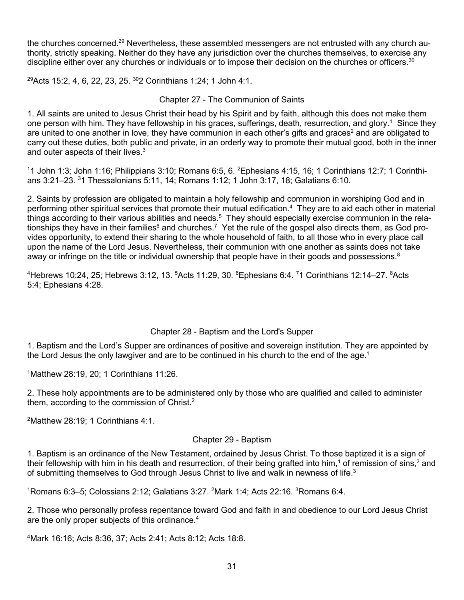the churches concerned.<sup>29</sup> Nevertheless, these assembled messengers are not entrusted with any church authority, strictly speaking. Neither do they have any jurisdiction over the churches themselves, to exercise any discipline either over any churches or individuals or to impose their decision on the churches or officers.<sup>30</sup>

<sup>29</sup>Acts 15:2, 4, 6, 22, 23, 25. <sup>30</sup>2 Corinthians 1:24; 1 John 4:1.

## Chapter 27 - The Communion of Saints

1. All saints are united to Jesus Christ their head by his Spirit and by faith, although this does not make them one person with him. They have fellowship in his graces, sufferings, death, resurrection, and glory.<sup>1</sup> Since they are united to one another in love, they have communion in each other's gifts and graces<sup>2</sup> and are obligated to carry out these duties, both public and private, in an orderly way to promote their mutual good, both in the inner and outer aspects of their lives.<sup>3</sup>

11 John 1:3; John 1:16; Philippians 3:10; Romans 6:5, 6. <sup>2</sup>Ephesians 4:15, 16; 1 Corinthians 12:7; 1 Corinthians 3:21–23. <sup>3</sup> 1 Thessalonians 5:11, 14; Romans 1:12; 1 John 3:17, 18; Galatians 6:10.

2. Saints by profession are obligated to maintain a holy fellowship and communion in worshiping God and in performing other spiritual services that promote their mutual edification.<sup>4</sup> They are to aid each other in material things according to their various abilities and needs.<sup>5</sup> They should especially exercise communion in the relationships they have in their families<sup>6</sup> and churches.<sup>7</sup> Yet the rule of the gospel also directs them, as God provides opportunity, to extend their sharing to the whole household of faith, to all those who in every place call upon the name of the Lord Jesus. Nevertheless, their communion with one another as saints does not take away or infringe on the title or individual ownership that people have in their goods and possessions. $8$ 

<sup>4</sup>Hebrews 10:24, 25; Hebrews 3:12, 13. <sup>5</sup>Acts 11:29, 30. <sup>6</sup>Ephesians 6:4. <sup>7</sup>1 Corinthians 12:14–27. <sup>8</sup>Acts 5:4; Ephesians 4:28.

### Chapter 28 - Baptism and the Lord's Supper

1. Baptism and the Lord's Supper are ordinances of positive and sovereign institution. They are appointed by the Lord Jesus the only lawgiver and are to be continued in his church to the end of the age.<sup>1</sup>

1 Matthew 28:19, 20; 1 Corinthians 11:26.

2. These holy appointments are to be administered only by those who are qualified and called to administer them, according to the commission of Christ.<sup>2</sup>

2 Matthew 28:19; 1 Corinthians 4:1.

### Chapter 29 - Baptism

1. Baptism is an ordinance of the New Testament, ordained by Jesus Christ. To those baptized it is a sign of their fellowship with him in his death and resurrection, of their being grafted into him,<sup>1</sup> of remission of sins,<sup>2</sup> and of submitting themselves to God through Jesus Christ to live and walk in newness of life.<sup>3</sup>

 $1$ Romans 6:3–5; Colossians 2:12; Galatians 3:27.  $2$ Mark 1:4; Acts 22:16.  $3$ Romans 6:4.

2. Those who personally profess repentance toward God and faith in and obedience to our Lord Jesus Christ are the only proper subjects of this ordinance.<sup>4</sup>

4 Mark 16:16; Acts 8:36, 37; Acts 2:41; Acts 8:12; Acts 18:8.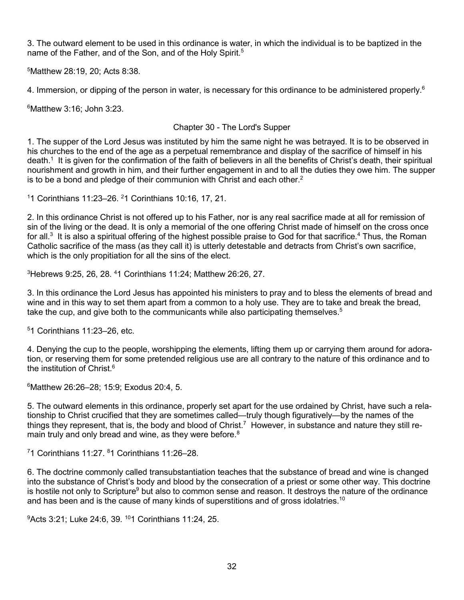3. The outward element to be used in this ordinance is water, in which the individual is to be baptized in the name of the Father, and of the Son, and of the Holy Spirit.<sup>5</sup>

5 Matthew 28:19, 20; Acts 8:38.

4. Immersion, or dipping of the person in water, is necessary for this ordinance to be administered properly.<sup>6</sup>

6 Matthew 3:16; John 3:23.

## Chapter 30 - The Lord's Supper

1. The supper of the Lord Jesus was instituted by him the same night he was betrayed. It is to be observed in his churches to the end of the age as a perpetual remembrance and display of the sacrifice of himself in his death.<sup>1</sup> It is given for the confirmation of the faith of believers in all the benefits of Christ's death, their spiritual nourishment and growth in him, and their further engagement in and to all the duties they owe him. The supper is to be a bond and pledge of their communion with Christ and each other.<sup>2</sup>

1 1 Corinthians 11:23–26. <sup>2</sup> 1 Corinthians 10:16, 17, 21.

2. In this ordinance Christ is not offered up to his Father, nor is any real sacrifice made at all for remission of sin of the living or the dead. It is only a memorial of the one offering Christ made of himself on the cross once for all.<sup>3</sup> It is also a spiritual offering of the highest possible praise to God for that sacrifice.<sup>4</sup> Thus, the Roman Catholic sacrifice of the mass (as they call it) is utterly detestable and detracts from Christ's own sacrifice, which is the only propitiation for all the sins of the elect.

3 Hebrews 9:25, 26, 28. <sup>4</sup> 1 Corinthians 11:24; Matthew 26:26, 27.

3. In this ordinance the Lord Jesus has appointed his ministers to pray and to bless the elements of bread and wine and in this way to set them apart from a common to a holy use. They are to take and break the bread, take the cup, and give both to the communicants while also participating themselves.<sup>5</sup>

5 1 Corinthians 11:23–26, etc.

4. Denying the cup to the people, worshipping the elements, lifting them up or carrying them around for adoration, or reserving them for some pretended religious use are all contrary to the nature of this ordinance and to the institution of Christ<sup> $6$ </sup>

6 Matthew 26:26–28; 15:9; Exodus 20:4, 5.

5. The outward elements in this ordinance, properly set apart for the use ordained by Christ, have such a relationship to Christ crucified that they are sometimes called—truly though figuratively—by the names of the things they represent, that is, the body and blood of Christ.<sup>7</sup> However, in substance and nature they still remain truly and only bread and wine, as they were before.<sup>8</sup>

 $71$  Corinthians 11:27.  $81$  Corinthians 11:26-28.

6. The doctrine commonly called transubstantiation teaches that the substance of bread and wine is changed into the substance of Christ's body and blood by the consecration of a priest or some other way. This doctrine is hostile not only to Scripture<sup>9</sup> but also to common sense and reason. It destroys the nature of the ordinance and has been and is the cause of many kinds of superstitions and of gross idolatries.<sup>10</sup>

9 Acts 3:21; Luke 24:6, 39. 101 Corinthians 11:24, 25.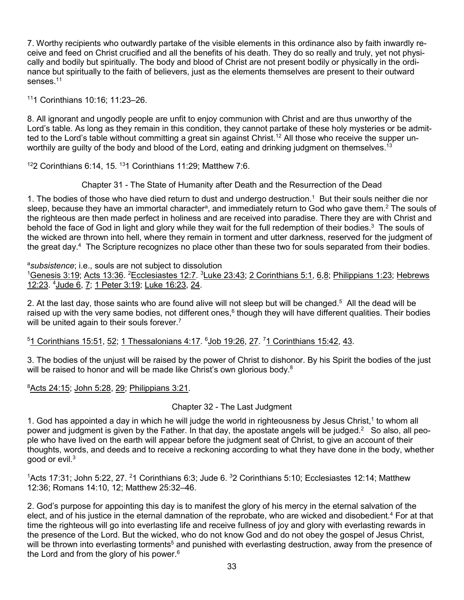7. Worthy recipients who outwardly partake of the visible elements in this ordinance also by faith inwardly receive and feed on Christ crucified and all the benefits of his death. They do so really and truly, yet not physically and bodily but spiritually. The body and blood of Christ are not present bodily or physically in the ordinance but spiritually to the faith of believers, just as the elements themselves are present to their outward senses<sup>11</sup>

111 Corinthians 10:16; 11:23–26.

8. All ignorant and ungodly people are unfit to enjoy communion with Christ and are thus unworthy of the Lord's table. As long as they remain in this condition, they cannot partake of these holy mysteries or be admitted to the Lord's table without committing a great sin against Christ.<sup>12</sup> All those who receive the supper unworthily are guilty of the body and blood of the Lord, eating and drinking judgment on themselves.<sup>13</sup>

 $122$  Corinthians 6:14, 15.  $131$  Corinthians 11:29; Matthew 7:6.

Chapter 31 - The State of Humanity after Death and the Resurrection of the Dead

1. The bodies of those who have died return to dust and undergo destruction.<sup>1</sup> But their souls neither die nor sleep, because they have an immortal character<sup>a</sup>, and immediately return to God who gave them.<sup>2</sup> The souls of the righteous are then made perfect in holiness and are received into paradise. There they are with Christ and behold the face of God in light and glory while they wait for the full redemption of their bodies.<sup>3</sup> The souls of the wicked are thrown into hell, where they remain in torment and utter darkness, reserved for the judgment of the great day.4 The Scripture recognizes no place other than these two for souls separated from their bodies.

a *subsistence*; i.e., souls are not subject to dissolution

<sup>1</sup>Genesis 3:19; Acts 13:36. <sup>2</sup>Ecclesiastes 12:7. <sup>3</sup>Luke 23:43; 2 Corinthians 5:1, 6,8; Philippians 1:23; Hebrews 12:23. <sup>4</sup> Jude 6, 7; 1 Peter 3:19; Luke 16:23, 24.

2. At the last day, those saints who are found alive will not sleep but will be changed.5 All the dead will be raised up with the very same bodies, not different ones,<sup>6</sup> though they will have different qualities. Their bodies will be united again to their souls forever.<sup>7</sup>

<sup>5</sup>1 Corinthians 15:51, 52; 1 Thessalonians 4:17. <sup>6</sup>Job 19:26, 27. <sup>7</sup>1 Corinthians 15:42, 43.

3. The bodies of the unjust will be raised by the power of Christ to dishonor. By his Spirit the bodies of the just will be raised to honor and will be made like Christ's own glorious body.<sup>8</sup>

## 8 Acts 24:15; John 5:28, 29; Philippians 3:21.

### Chapter 32 - The Last Judgment

1. God has appointed a day in which he will judge the world in righteousness by Jesus Christ,<sup>1</sup> to whom all power and judgment is given by the Father. In that day, the apostate angels will be judged.<sup>2</sup> So also, all people who have lived on the earth will appear before the judgment seat of Christ, to give an account of their thoughts, words, and deeds and to receive a reckoning according to what they have done in the body, whether good or evil.3

<sup>1</sup>Acts 17:31; John 5:22, 27. <sup>2</sup>1 Corinthians 6:3; Jude 6.  $32$  Corinthians 5:10; Ecclesiastes 12:14; Matthew 12:36; Romans 14:10, 12; Matthew 25:32–46.

2. God's purpose for appointing this day is to manifest the glory of his mercy in the eternal salvation of the elect, and of his justice in the eternal damnation of the reprobate, who are wicked and disobedient.<sup>4</sup> For at that time the righteous will go into everlasting life and receive fullness of joy and glory with everlasting rewards in the presence of the Lord. But the wicked, who do not know God and do not obey the gospel of Jesus Christ, will be thrown into everlasting torments<sup>5</sup> and punished with everlasting destruction, away from the presence of the Lord and from the glory of his power.<sup>6</sup>